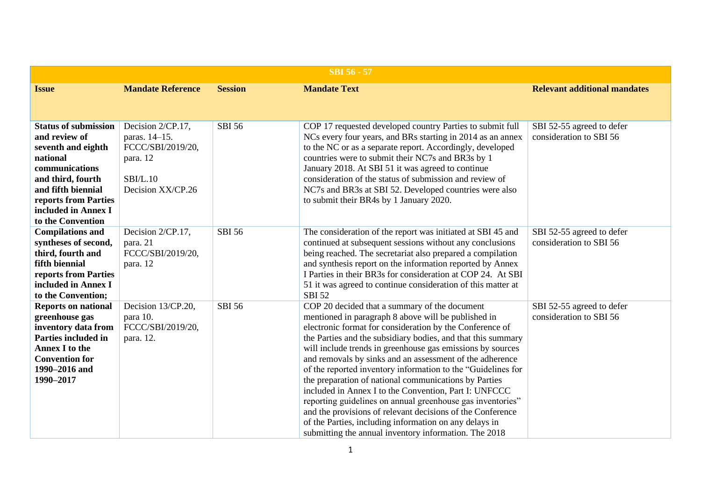| <b>SBI 56 - 57</b>                                                                                                                                                                                              |                                                                                                             |                |                                                                                                                                                                                                                                                                                                                                                                                                                                                                                                                                                                                                                                                                                                                                                                                             |                                                      |  |
|-----------------------------------------------------------------------------------------------------------------------------------------------------------------------------------------------------------------|-------------------------------------------------------------------------------------------------------------|----------------|---------------------------------------------------------------------------------------------------------------------------------------------------------------------------------------------------------------------------------------------------------------------------------------------------------------------------------------------------------------------------------------------------------------------------------------------------------------------------------------------------------------------------------------------------------------------------------------------------------------------------------------------------------------------------------------------------------------------------------------------------------------------------------------------|------------------------------------------------------|--|
| <b>Issue</b>                                                                                                                                                                                                    | <b>Mandate Reference</b>                                                                                    | <b>Session</b> | <b>Mandate Text</b>                                                                                                                                                                                                                                                                                                                                                                                                                                                                                                                                                                                                                                                                                                                                                                         | <b>Relevant additional mandates</b>                  |  |
|                                                                                                                                                                                                                 |                                                                                                             |                |                                                                                                                                                                                                                                                                                                                                                                                                                                                                                                                                                                                                                                                                                                                                                                                             |                                                      |  |
| <b>Status of submission</b><br>and review of<br>seventh and eighth<br>national<br>communications<br>and third, fourth<br>and fifth biennial<br>reports from Parties<br>included in Annex I<br>to the Convention | Decision 2/CP.17,<br>paras. 14-15.<br>FCCC/SBI/2019/20,<br>para. 12<br><b>SBI/L.10</b><br>Decision XX/CP.26 | <b>SBI 56</b>  | COP 17 requested developed country Parties to submit full<br>NCs every four years, and BRs starting in 2014 as an annex<br>to the NC or as a separate report. Accordingly, developed<br>countries were to submit their NC7s and BR3s by 1<br>January 2018. At SBI 51 it was agreed to continue<br>consideration of the status of submission and review of<br>NC7s and BR3s at SBI 52. Developed countries were also<br>to submit their BR4s by 1 January 2020.                                                                                                                                                                                                                                                                                                                              | SBI 52-55 agreed to defer<br>consideration to SBI 56 |  |
| <b>Compilations and</b><br>syntheses of second,<br>third, fourth and<br>fifth biennial<br>reports from Parties<br>included in Annex I<br>to the Convention;                                                     | Decision 2/CP.17,<br>para. 21<br>FCCC/SBI/2019/20,<br>para. 12                                              | <b>SBI 56</b>  | The consideration of the report was initiated at SBI 45 and<br>continued at subsequent sessions without any conclusions<br>being reached. The secretariat also prepared a compilation<br>and synthesis report on the information reported by Annex<br>I Parties in their BR3s for consideration at COP 24. At SBI<br>51 it was agreed to continue consideration of this matter at<br><b>SBI 52</b>                                                                                                                                                                                                                                                                                                                                                                                          | SBI 52-55 agreed to defer<br>consideration to SBI 56 |  |
| <b>Reports on national</b><br>greenhouse gas<br>inventory data from<br>Parties included in<br><b>Annex I to the</b><br><b>Convention for</b><br>1990-2016 and<br>1990-2017                                      | Decision 13/CP.20,<br>para 10.<br>FCCC/SBI/2019/20,<br>para. 12.                                            | <b>SBI 56</b>  | COP 20 decided that a summary of the document<br>mentioned in paragraph 8 above will be published in<br>electronic format for consideration by the Conference of<br>the Parties and the subsidiary bodies, and that this summary<br>will include trends in greenhouse gas emissions by sources<br>and removals by sinks and an assessment of the adherence<br>of the reported inventory information to the "Guidelines for<br>the preparation of national communications by Parties<br>included in Annex I to the Convention, Part I: UNFCCC<br>reporting guidelines on annual greenhouse gas inventories"<br>and the provisions of relevant decisions of the Conference<br>of the Parties, including information on any delays in<br>submitting the annual inventory information. The 2018 | SBI 52-55 agreed to defer<br>consideration to SBI 56 |  |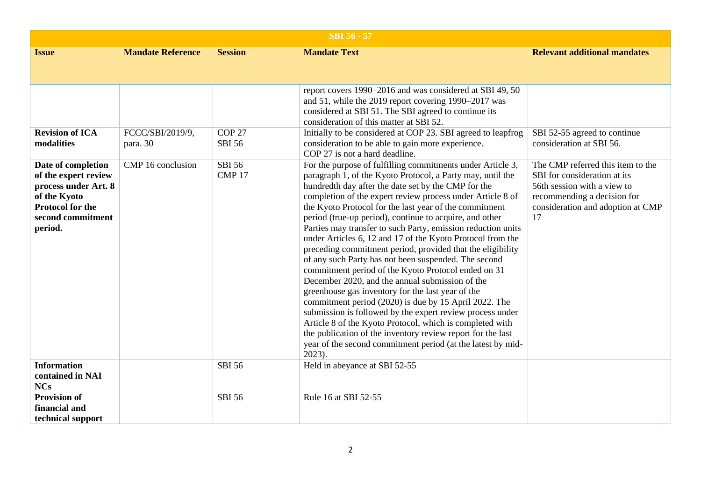|                                                                                                                                               | <b>SBI 56 - 57</b>           |                                    |                                                                                                                                                                                                                                                                                                                                                                                                                                                                                                                                                                                                                                                                                                                                                                                                                                                                                                                                                                                                                                                                                                                    |                                                                                                                                                                            |  |  |
|-----------------------------------------------------------------------------------------------------------------------------------------------|------------------------------|------------------------------------|--------------------------------------------------------------------------------------------------------------------------------------------------------------------------------------------------------------------------------------------------------------------------------------------------------------------------------------------------------------------------------------------------------------------------------------------------------------------------------------------------------------------------------------------------------------------------------------------------------------------------------------------------------------------------------------------------------------------------------------------------------------------------------------------------------------------------------------------------------------------------------------------------------------------------------------------------------------------------------------------------------------------------------------------------------------------------------------------------------------------|----------------------------------------------------------------------------------------------------------------------------------------------------------------------------|--|--|
| <b>Issue</b>                                                                                                                                  | <b>Mandate Reference</b>     | <b>Session</b>                     | <b>Mandate Text</b>                                                                                                                                                                                                                                                                                                                                                                                                                                                                                                                                                                                                                                                                                                                                                                                                                                                                                                                                                                                                                                                                                                | <b>Relevant additional mandates</b>                                                                                                                                        |  |  |
|                                                                                                                                               |                              |                                    |                                                                                                                                                                                                                                                                                                                                                                                                                                                                                                                                                                                                                                                                                                                                                                                                                                                                                                                                                                                                                                                                                                                    |                                                                                                                                                                            |  |  |
|                                                                                                                                               |                              |                                    | report covers 1990–2016 and was considered at SBI 49, 50<br>and 51, while the 2019 report covering 1990–2017 was<br>considered at SBI 51. The SBI agreed to continue its<br>consideration of this matter at SBI 52.                                                                                                                                                                                                                                                                                                                                                                                                                                                                                                                                                                                                                                                                                                                                                                                                                                                                                                |                                                                                                                                                                            |  |  |
| <b>Revision of ICA</b><br>modalities                                                                                                          | FCCC/SBI/2019/9,<br>para. 30 | COP <sub>27</sub><br><b>SBI 56</b> | Initially to be considered at COP 23. SBI agreed to leapfrog<br>consideration to be able to gain more experience.<br>COP 27 is not a hard deadline.                                                                                                                                                                                                                                                                                                                                                                                                                                                                                                                                                                                                                                                                                                                                                                                                                                                                                                                                                                | SBI 52-55 agreed to continue<br>consideration at SBI 56.                                                                                                                   |  |  |
| Date of completion<br>of the expert review<br>process under Art. 8<br>of the Kyoto<br><b>Protocol for the</b><br>second commitment<br>period. | CMP 16 conclusion            | <b>SBI 56</b><br>CMP <sub>17</sub> | For the purpose of fulfilling commitments under Article 3,<br>paragraph 1, of the Kyoto Protocol, a Party may, until the<br>hundredth day after the date set by the CMP for the<br>completion of the expert review process under Article 8 of<br>the Kyoto Protocol for the last year of the commitment<br>period (true-up period), continue to acquire, and other<br>Parties may transfer to such Party, emission reduction units<br>under Articles 6, 12 and 17 of the Kyoto Protocol from the<br>preceding commitment period, provided that the eligibility<br>of any such Party has not been suspended. The second<br>commitment period of the Kyoto Protocol ended on 31<br>December 2020, and the annual submission of the<br>greenhouse gas inventory for the last year of the<br>commitment period (2020) is due by 15 April 2022. The<br>submission is followed by the expert review process under<br>Article 8 of the Kyoto Protocol, which is completed with<br>the publication of the inventory review report for the last<br>year of the second commitment period (at the latest by mid-<br>$2023$ ). | The CMP referred this item to the<br>SBI for consideration at its<br>56th session with a view to<br>recommending a decision for<br>consideration and adoption at CMP<br>17 |  |  |
| <b>Information</b><br>contained in NAI<br><b>NCs</b>                                                                                          |                              | <b>SBI 56</b>                      | Held in abeyance at SBI 52-55                                                                                                                                                                                                                                                                                                                                                                                                                                                                                                                                                                                                                                                                                                                                                                                                                                                                                                                                                                                                                                                                                      |                                                                                                                                                                            |  |  |
| <b>Provision of</b><br>financial and<br>technical support                                                                                     |                              | <b>SBI 56</b>                      | Rule 16 at SBI 52-55                                                                                                                                                                                                                                                                                                                                                                                                                                                                                                                                                                                                                                                                                                                                                                                                                                                                                                                                                                                                                                                                                               |                                                                                                                                                                            |  |  |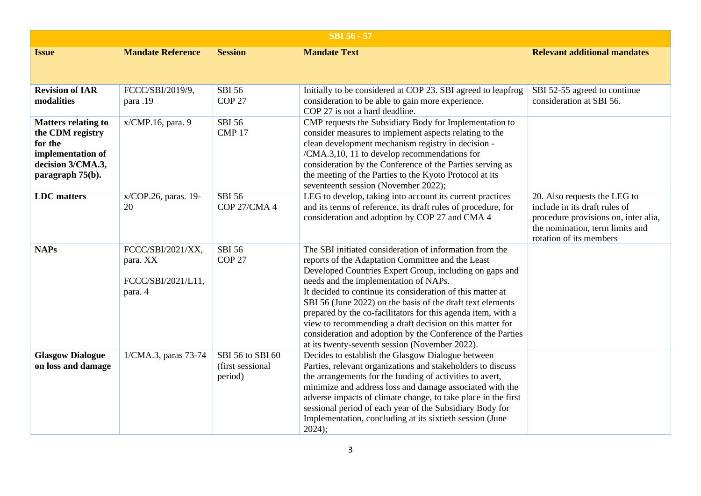| <b>SBI 56 - 57</b>                                                                                                      |                                                                |                                                 |                                                                                                                                                                                                                                                                                                                                                                                                                                                                                                                                                                                           |                                                                                                                                                                     |  |
|-------------------------------------------------------------------------------------------------------------------------|----------------------------------------------------------------|-------------------------------------------------|-------------------------------------------------------------------------------------------------------------------------------------------------------------------------------------------------------------------------------------------------------------------------------------------------------------------------------------------------------------------------------------------------------------------------------------------------------------------------------------------------------------------------------------------------------------------------------------------|---------------------------------------------------------------------------------------------------------------------------------------------------------------------|--|
| <b>Issue</b>                                                                                                            | <b>Mandate Reference</b>                                       | <b>Session</b>                                  | <b>Mandate Text</b>                                                                                                                                                                                                                                                                                                                                                                                                                                                                                                                                                                       | <b>Relevant additional mandates</b>                                                                                                                                 |  |
| <b>Revision of IAR</b><br>modalities                                                                                    | FCCC/SBI/2019/9,<br>para .19                                   | <b>SBI 56</b><br>COP <sub>27</sub>              | Initially to be considered at COP 23. SBI agreed to leapfrog<br>consideration to be able to gain more experience.<br>COP 27 is not a hard deadline.                                                                                                                                                                                                                                                                                                                                                                                                                                       | SBI 52-55 agreed to continue<br>consideration at SBI 56.                                                                                                            |  |
| <b>Matters relating to</b><br>the CDM registry<br>for the<br>implementation of<br>decision 3/CMA.3,<br>paragraph 75(b). | x/CMP.16, para. 9                                              | <b>SBI 56</b><br>CMP <sub>17</sub>              | CMP requests the Subsidiary Body for Implementation to<br>consider measures to implement aspects relating to the<br>clean development mechanism registry in decision -<br>/CMA.3,10, 11 to develop recommendations for<br>consideration by the Conference of the Parties serving as<br>the meeting of the Parties to the Kyoto Protocol at its<br>seventeenth session (November 2022);                                                                                                                                                                                                    |                                                                                                                                                                     |  |
| <b>LDC</b> matters                                                                                                      | x/COP.26, paras. 19-<br>20                                     | <b>SBI 56</b><br>COP 27/CMA 4                   | LEG to develop, taking into account its current practices<br>and its terms of reference, its draft rules of procedure, for<br>consideration and adoption by COP 27 and CMA 4                                                                                                                                                                                                                                                                                                                                                                                                              | 20. Also requests the LEG to<br>include in its draft rules of<br>procedure provisions on, inter alia,<br>the nomination, term limits and<br>rotation of its members |  |
| <b>NAPs</b>                                                                                                             | FCCC/SBI/2021/XX,<br>para. XX<br>FCCC/SBI/2021/L11,<br>para. 4 | <b>SBI 56</b><br>COP <sub>27</sub>              | The SBI initiated consideration of information from the<br>reports of the Adaptation Committee and the Least<br>Developed Countries Expert Group, including on gaps and<br>needs and the implementation of NAPs.<br>It decided to continue its consideration of this matter at<br>SBI 56 (June 2022) on the basis of the draft text elements<br>prepared by the co-facilitators for this agenda item, with a<br>view to recommending a draft decision on this matter for<br>consideration and adoption by the Conference of the Parties<br>at its twenty-seventh session (November 2022). |                                                                                                                                                                     |  |
| <b>Glasgow Dialogue</b><br>on loss and damage                                                                           | 1/CMA.3, paras 73-74                                           | SBI 56 to SBI 60<br>(first sessional<br>period) | Decides to establish the Glasgow Dialogue between<br>Parties, relevant organizations and stakeholders to discuss<br>the arrangements for the funding of activities to avert,<br>minimize and address loss and damage associated with the<br>adverse impacts of climate change, to take place in the first<br>sessional period of each year of the Subsidiary Body for<br>Implementation, concluding at its sixtieth session (June<br>2024);                                                                                                                                               |                                                                                                                                                                     |  |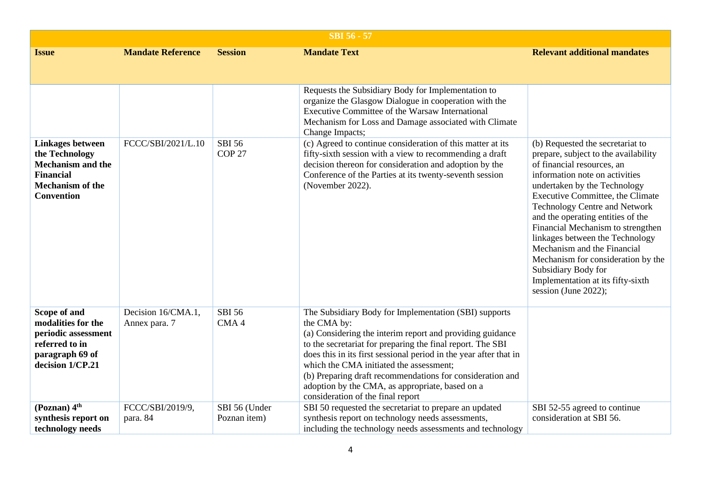|                                                                                                                                           |                                     |                                    | <b>SBI 56 - 57</b>                                                                                                                                                                                                                                                                                                                                                                                                                                                   |                                                                                                                                                                                                                                                                                                                                                                                                                                                                                                                            |
|-------------------------------------------------------------------------------------------------------------------------------------------|-------------------------------------|------------------------------------|----------------------------------------------------------------------------------------------------------------------------------------------------------------------------------------------------------------------------------------------------------------------------------------------------------------------------------------------------------------------------------------------------------------------------------------------------------------------|----------------------------------------------------------------------------------------------------------------------------------------------------------------------------------------------------------------------------------------------------------------------------------------------------------------------------------------------------------------------------------------------------------------------------------------------------------------------------------------------------------------------------|
| <b>Issue</b>                                                                                                                              | <b>Mandate Reference</b>            | <b>Session</b>                     | <b>Mandate Text</b>                                                                                                                                                                                                                                                                                                                                                                                                                                                  | <b>Relevant additional mandates</b>                                                                                                                                                                                                                                                                                                                                                                                                                                                                                        |
|                                                                                                                                           |                                     |                                    |                                                                                                                                                                                                                                                                                                                                                                                                                                                                      |                                                                                                                                                                                                                                                                                                                                                                                                                                                                                                                            |
|                                                                                                                                           |                                     |                                    | Requests the Subsidiary Body for Implementation to<br>organize the Glasgow Dialogue in cooperation with the<br>Executive Committee of the Warsaw International<br>Mechanism for Loss and Damage associated with Climate<br>Change Impacts;                                                                                                                                                                                                                           |                                                                                                                                                                                                                                                                                                                                                                                                                                                                                                                            |
| <b>Linkages between</b><br>the Technology<br><b>Mechanism and the</b><br><b>Financial</b><br><b>Mechanism of the</b><br><b>Convention</b> | FCCC/SBI/2021/L.10                  | <b>SBI 56</b><br>COP <sub>27</sub> | (c) Agreed to continue consideration of this matter at its<br>fifty-sixth session with a view to recommending a draft<br>decision thereon for consideration and adoption by the<br>Conference of the Parties at its twenty-seventh session<br>(November 2022).                                                                                                                                                                                                       | (b) Requested the secretariat to<br>prepare, subject to the availability<br>of financial resources, an<br>information note on activities<br>undertaken by the Technology<br>Executive Committee, the Climate<br><b>Technology Centre and Network</b><br>and the operating entities of the<br>Financial Mechanism to strengthen<br>linkages between the Technology<br>Mechanism and the Financial<br>Mechanism for consideration by the<br>Subsidiary Body for<br>Implementation at its fifty-sixth<br>session (June 2022); |
| Scope of and<br>modalities for the<br>periodic assessment<br>referred to in<br>paragraph 69 of<br>decision 1/CP.21                        | Decision 16/CMA.1,<br>Annex para. 7 | <b>SBI 56</b><br>CMA4              | The Subsidiary Body for Implementation (SBI) supports<br>the CMA by:<br>(a) Considering the interim report and providing guidance<br>to the secretariat for preparing the final report. The SBI<br>does this in its first sessional period in the year after that in<br>which the CMA initiated the assessment;<br>(b) Preparing draft recommendations for consideration and<br>adoption by the CMA, as appropriate, based on a<br>consideration of the final report |                                                                                                                                                                                                                                                                                                                                                                                                                                                                                                                            |
| (Poznan) 4 <sup>th</sup><br>synthesis report on<br>technology needs                                                                       | FCCC/SBI/2019/9,<br>para. 84        | SBI 56 (Under<br>Poznan item)      | SBI 50 requested the secretariat to prepare an updated<br>synthesis report on technology needs assessments,<br>including the technology needs assessments and technology                                                                                                                                                                                                                                                                                             | SBI 52-55 agreed to continue<br>consideration at SBI 56.                                                                                                                                                                                                                                                                                                                                                                                                                                                                   |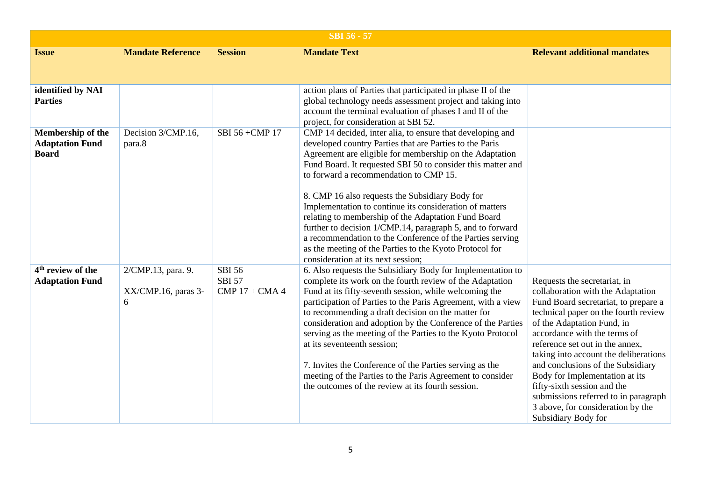| <b>SBI 56 - 57</b>                                          |                                                |                                                    |                                                                                                                                                                                                                                                                                                                                                                                                                                                                                                                                                                                                                                                                                          |                                                                                                                                                                                                                                                                                                                                                                                                                                                                                                       |  |
|-------------------------------------------------------------|------------------------------------------------|----------------------------------------------------|------------------------------------------------------------------------------------------------------------------------------------------------------------------------------------------------------------------------------------------------------------------------------------------------------------------------------------------------------------------------------------------------------------------------------------------------------------------------------------------------------------------------------------------------------------------------------------------------------------------------------------------------------------------------------------------|-------------------------------------------------------------------------------------------------------------------------------------------------------------------------------------------------------------------------------------------------------------------------------------------------------------------------------------------------------------------------------------------------------------------------------------------------------------------------------------------------------|--|
| <b>Issue</b>                                                | <b>Mandate Reference</b>                       | <b>Session</b>                                     | <b>Mandate Text</b>                                                                                                                                                                                                                                                                                                                                                                                                                                                                                                                                                                                                                                                                      | <b>Relevant additional mandates</b>                                                                                                                                                                                                                                                                                                                                                                                                                                                                   |  |
|                                                             |                                                |                                                    |                                                                                                                                                                                                                                                                                                                                                                                                                                                                                                                                                                                                                                                                                          |                                                                                                                                                                                                                                                                                                                                                                                                                                                                                                       |  |
| identified by NAI<br><b>Parties</b>                         |                                                |                                                    | action plans of Parties that participated in phase II of the<br>global technology needs assessment project and taking into<br>account the terminal evaluation of phases I and II of the<br>project, for consideration at SBI 52.                                                                                                                                                                                                                                                                                                                                                                                                                                                         |                                                                                                                                                                                                                                                                                                                                                                                                                                                                                                       |  |
| Membership of the<br><b>Adaptation Fund</b><br><b>Board</b> | Decision 3/CMP.16,<br>para.8                   | SBI 56 + CMP 17                                    | CMP 14 decided, inter alia, to ensure that developing and<br>developed country Parties that are Parties to the Paris<br>Agreement are eligible for membership on the Adaptation<br>Fund Board. It requested SBI 50 to consider this matter and<br>to forward a recommendation to CMP 15.<br>8. CMP 16 also requests the Subsidiary Body for<br>Implementation to continue its consideration of matters<br>relating to membership of the Adaptation Fund Board<br>further to decision 1/CMP.14, paragraph 5, and to forward<br>a recommendation to the Conference of the Parties serving<br>as the meeting of the Parties to the Kyoto Protocol for<br>consideration at its next session; |                                                                                                                                                                                                                                                                                                                                                                                                                                                                                                       |  |
| 4 <sup>th</sup> review of the<br><b>Adaptation Fund</b>     | 2/CMP.13, para. 9.<br>XX/CMP.16, paras 3-<br>6 | <b>SBI 56</b><br><b>SBI 57</b><br>$CMP 17 + CMA 4$ | 6. Also requests the Subsidiary Body for Implementation to<br>complete its work on the fourth review of the Adaptation<br>Fund at its fifty-seventh session, while welcoming the<br>participation of Parties to the Paris Agreement, with a view<br>to recommending a draft decision on the matter for<br>consideration and adoption by the Conference of the Parties<br>serving as the meeting of the Parties to the Kyoto Protocol<br>at its seventeenth session;<br>7. Invites the Conference of the Parties serving as the<br>meeting of the Parties to the Paris Agreement to consider<br>the outcomes of the review at its fourth session.                                         | Requests the secretariat, in<br>collaboration with the Adaptation<br>Fund Board secretariat, to prepare a<br>technical paper on the fourth review<br>of the Adaptation Fund, in<br>accordance with the terms of<br>reference set out in the annex,<br>taking into account the deliberations<br>and conclusions of the Subsidiary<br>Body for Implementation at its<br>fifty-sixth session and the<br>submissions referred to in paragraph<br>3 above, for consideration by the<br>Subsidiary Body for |  |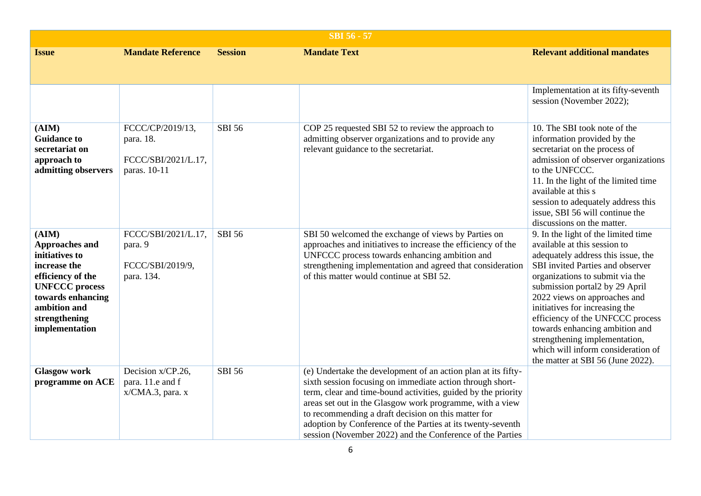| <b>SBI 56 - 57</b>                                                                                                                                                                     |                                                                      |                |                                                                                                                                                                                                                                                                                                                                                                                                                                            |                                                                                                                                                                                                                                                                                                                                                                                                                                                                        |  |
|----------------------------------------------------------------------------------------------------------------------------------------------------------------------------------------|----------------------------------------------------------------------|----------------|--------------------------------------------------------------------------------------------------------------------------------------------------------------------------------------------------------------------------------------------------------------------------------------------------------------------------------------------------------------------------------------------------------------------------------------------|------------------------------------------------------------------------------------------------------------------------------------------------------------------------------------------------------------------------------------------------------------------------------------------------------------------------------------------------------------------------------------------------------------------------------------------------------------------------|--|
| <b>Issue</b>                                                                                                                                                                           | <b>Mandate Reference</b>                                             | <b>Session</b> | <b>Mandate Text</b>                                                                                                                                                                                                                                                                                                                                                                                                                        | <b>Relevant additional mandates</b>                                                                                                                                                                                                                                                                                                                                                                                                                                    |  |
|                                                                                                                                                                                        |                                                                      |                |                                                                                                                                                                                                                                                                                                                                                                                                                                            | Implementation at its fifty-seventh<br>session (November 2022);                                                                                                                                                                                                                                                                                                                                                                                                        |  |
| (AIM)<br><b>Guidance to</b><br>secretariat on<br>approach to<br>admitting observers                                                                                                    | FCCC/CP/2019/13,<br>para. 18.<br>FCCC/SBI/2021/L.17,<br>paras. 10-11 | <b>SBI 56</b>  | COP 25 requested SBI 52 to review the approach to<br>admitting observer organizations and to provide any<br>relevant guidance to the secretariat.                                                                                                                                                                                                                                                                                          | 10. The SBI took note of the<br>information provided by the<br>secretariat on the process of<br>admission of observer organizations<br>to the UNFCCC.<br>11. In the light of the limited time<br>available at this s<br>session to adequately address this<br>issue, SBI 56 will continue the<br>discussions on the matter.                                                                                                                                            |  |
| (AIM)<br><b>Approaches and</b><br>initiatives to<br>increase the<br>efficiency of the<br><b>UNFCCC</b> process<br>towards enhancing<br>ambition and<br>strengthening<br>implementation | FCCC/SBI/2021/L.17,<br>para. 9<br>FCCC/SBI/2019/9,<br>para. 134.     | <b>SBI 56</b>  | SBI 50 welcomed the exchange of views by Parties on<br>approaches and initiatives to increase the efficiency of the<br>UNFCCC process towards enhancing ambition and<br>strengthening implementation and agreed that consideration<br>of this matter would continue at SBI 52.                                                                                                                                                             | 9. In the light of the limited time<br>available at this session to<br>adequately address this issue, the<br>SBI invited Parties and observer<br>organizations to submit via the<br>submission portal2 by 29 April<br>2022 views on approaches and<br>initiatives for increasing the<br>efficiency of the UNFCCC process<br>towards enhancing ambition and<br>strengthening implementation,<br>which will inform consideration of<br>the matter at SBI 56 (June 2022). |  |
| <b>Glasgow work</b><br>programme on ACE                                                                                                                                                | Decision x/CP.26,<br>para. 11.e and f<br>$x/CMA.3$ , para. x         | <b>SBI 56</b>  | (e) Undertake the development of an action plan at its fifty-<br>sixth session focusing on immediate action through short-<br>term, clear and time-bound activities, guided by the priority<br>areas set out in the Glasgow work programme, with a view<br>to recommending a draft decision on this matter for<br>adoption by Conference of the Parties at its twenty-seventh<br>session (November 2022) and the Conference of the Parties |                                                                                                                                                                                                                                                                                                                                                                                                                                                                        |  |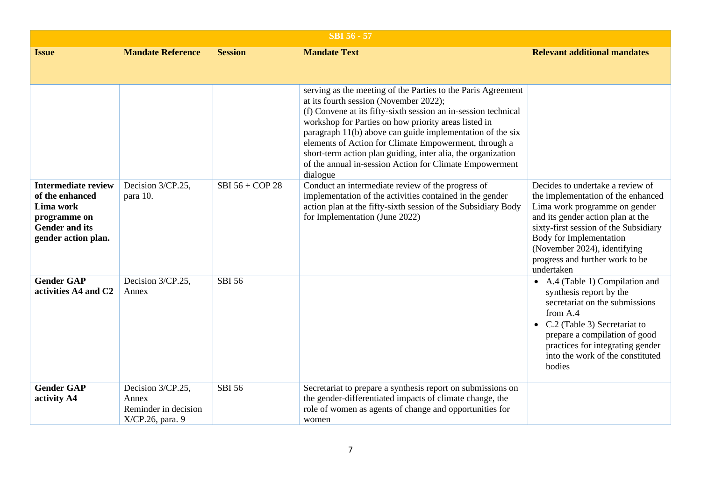| <b>SBI 56 - 57</b>                                                                                                         |                                                                        |                 |                                                                                                                                                                                                                                                                                                                                                                                                                                                                                               |                                                                                                                                                                                                                                                                                                   |
|----------------------------------------------------------------------------------------------------------------------------|------------------------------------------------------------------------|-----------------|-----------------------------------------------------------------------------------------------------------------------------------------------------------------------------------------------------------------------------------------------------------------------------------------------------------------------------------------------------------------------------------------------------------------------------------------------------------------------------------------------|---------------------------------------------------------------------------------------------------------------------------------------------------------------------------------------------------------------------------------------------------------------------------------------------------|
| <b>Issue</b>                                                                                                               | <b>Mandate Reference</b>                                               | <b>Session</b>  | <b>Mandate Text</b>                                                                                                                                                                                                                                                                                                                                                                                                                                                                           | <b>Relevant additional mandates</b>                                                                                                                                                                                                                                                               |
|                                                                                                                            |                                                                        |                 | serving as the meeting of the Parties to the Paris Agreement<br>at its fourth session (November 2022);<br>(f) Convene at its fifty-sixth session an in-session technical<br>workshop for Parties on how priority areas listed in<br>paragraph 11(b) above can guide implementation of the six<br>elements of Action for Climate Empowerment, through a<br>short-term action plan guiding, inter alia, the organization<br>of the annual in-session Action for Climate Empowerment<br>dialogue |                                                                                                                                                                                                                                                                                                   |
| <b>Intermediate review</b><br>of the enhanced<br>Lima work<br>programme on<br><b>Gender and its</b><br>gender action plan. | Decision 3/CP.25,<br>para 10.                                          | SBI 56 + COP 28 | Conduct an intermediate review of the progress of<br>implementation of the activities contained in the gender<br>action plan at the fifty-sixth session of the Subsidiary Body<br>for Implementation (June 2022)                                                                                                                                                                                                                                                                              | Decides to undertake a review of<br>the implementation of the enhanced<br>Lima work programme on gender<br>and its gender action plan at the<br>sixty-first session of the Subsidiary<br>Body for Implementation<br>(November 2024), identifying<br>progress and further work to be<br>undertaken |
| <b>Gender GAP</b><br>activities A4 and C2                                                                                  | Decision 3/CP.25,<br>Annex                                             | <b>SBI 56</b>   |                                                                                                                                                                                                                                                                                                                                                                                                                                                                                               | • A.4 (Table 1) Compilation and<br>synthesis report by the<br>secretariat on the submissions<br>from A.4<br>• $C.2$ (Table 3) Secretariat to<br>prepare a compilation of good<br>practices for integrating gender<br>into the work of the constituted<br>bodies                                   |
| <b>Gender GAP</b><br>activity A4                                                                                           | Decision 3/CP.25,<br>Annex<br>Reminder in decision<br>X/CP.26, para. 9 | <b>SBI 56</b>   | Secretariat to prepare a synthesis report on submissions on<br>the gender-differentiated impacts of climate change, the<br>role of women as agents of change and opportunities for<br>women                                                                                                                                                                                                                                                                                                   |                                                                                                                                                                                                                                                                                                   |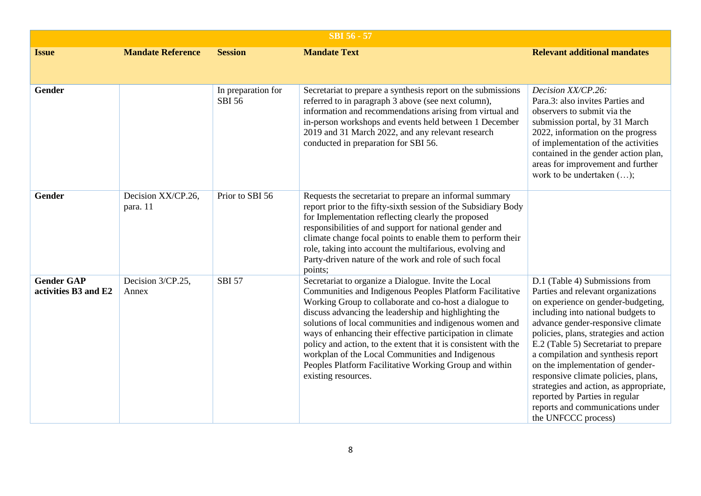| <b>SBI 56 - 57</b>                        |                                |                                     |                                                                                                                                                                                                                                                                                                                                                                                                                                                                                                                                                                      |                                                                                                                                                                                                                                                                                                                                                                                                                                                                                                                                 |  |
|-------------------------------------------|--------------------------------|-------------------------------------|----------------------------------------------------------------------------------------------------------------------------------------------------------------------------------------------------------------------------------------------------------------------------------------------------------------------------------------------------------------------------------------------------------------------------------------------------------------------------------------------------------------------------------------------------------------------|---------------------------------------------------------------------------------------------------------------------------------------------------------------------------------------------------------------------------------------------------------------------------------------------------------------------------------------------------------------------------------------------------------------------------------------------------------------------------------------------------------------------------------|--|
| <b>Issue</b>                              | <b>Mandate Reference</b>       | <b>Session</b>                      | <b>Mandate Text</b>                                                                                                                                                                                                                                                                                                                                                                                                                                                                                                                                                  | <b>Relevant additional mandates</b>                                                                                                                                                                                                                                                                                                                                                                                                                                                                                             |  |
| Gender                                    |                                | In preparation for<br><b>SBI 56</b> | Secretariat to prepare a synthesis report on the submissions<br>referred to in paragraph 3 above (see next column),<br>information and recommendations arising from virtual and<br>in-person workshops and events held between 1 December<br>2019 and 31 March 2022, and any relevant research<br>conducted in preparation for SBI 56.                                                                                                                                                                                                                               | Decision XX/CP.26:<br>Para.3: also invites Parties and<br>observers to submit via the<br>submission portal, by 31 March<br>2022, information on the progress<br>of implementation of the activities<br>contained in the gender action plan,<br>areas for improvement and further<br>work to be undertaken ();                                                                                                                                                                                                                   |  |
| Gender                                    | Decision XX/CP.26,<br>para. 11 | Prior to SBI 56                     | Requests the secretariat to prepare an informal summary<br>report prior to the fifty-sixth session of the Subsidiary Body<br>for Implementation reflecting clearly the proposed<br>responsibilities of and support for national gender and<br>climate change focal points to enable them to perform their<br>role, taking into account the multifarious, evolving and<br>Party-driven nature of the work and role of such focal<br>points;                                                                                                                           |                                                                                                                                                                                                                                                                                                                                                                                                                                                                                                                                 |  |
| <b>Gender GAP</b><br>activities B3 and E2 | Decision 3/CP.25,<br>Annex     | <b>SBI 57</b>                       | Secretariat to organize a Dialogue. Invite the Local<br>Communities and Indigenous Peoples Platform Facilitative<br>Working Group to collaborate and co-host a dialogue to<br>discuss advancing the leadership and highlighting the<br>solutions of local communities and indigenous women and<br>ways of enhancing their effective participation in climate<br>policy and action, to the extent that it is consistent with the<br>workplan of the Local Communities and Indigenous<br>Peoples Platform Facilitative Working Group and within<br>existing resources. | D.1 (Table 4) Submissions from<br>Parties and relevant organizations<br>on experience on gender-budgeting,<br>including into national budgets to<br>advance gender-responsive climate<br>policies, plans, strategies and action<br>E.2 (Table 5) Secretariat to prepare<br>a compilation and synthesis report<br>on the implementation of gender-<br>responsive climate policies, plans,<br>strategies and action, as appropriate,<br>reported by Parties in regular<br>reports and communications under<br>the UNFCCC process) |  |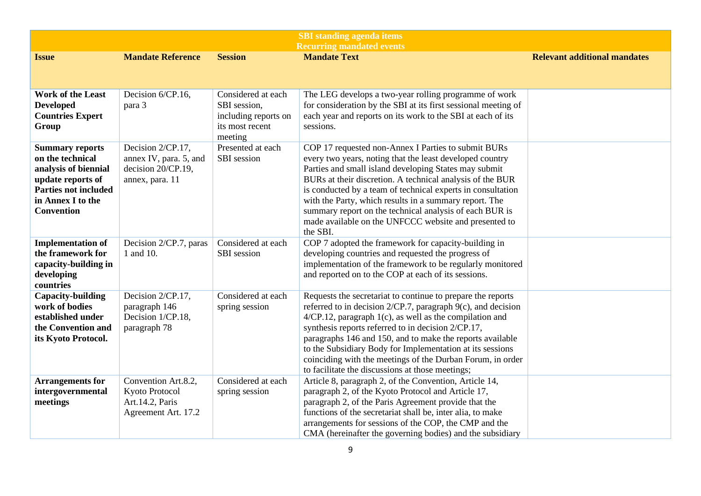| <b>SBI</b> standing agenda items                                                                                                                                 |                                                                                      |                                                                                          |                                                                                                                                                                                                                                                                                                                                                                                                                                                                                                |                                     |
|------------------------------------------------------------------------------------------------------------------------------------------------------------------|--------------------------------------------------------------------------------------|------------------------------------------------------------------------------------------|------------------------------------------------------------------------------------------------------------------------------------------------------------------------------------------------------------------------------------------------------------------------------------------------------------------------------------------------------------------------------------------------------------------------------------------------------------------------------------------------|-------------------------------------|
|                                                                                                                                                                  |                                                                                      |                                                                                          | <b>Recurring mandated events</b>                                                                                                                                                                                                                                                                                                                                                                                                                                                               |                                     |
| <b>Issue</b>                                                                                                                                                     | <b>Mandate Reference</b>                                                             | <b>Session</b>                                                                           | <b>Mandate Text</b>                                                                                                                                                                                                                                                                                                                                                                                                                                                                            | <b>Relevant additional mandates</b> |
|                                                                                                                                                                  |                                                                                      |                                                                                          |                                                                                                                                                                                                                                                                                                                                                                                                                                                                                                |                                     |
| <b>Work of the Least</b><br><b>Developed</b><br><b>Countries Expert</b><br>Group                                                                                 | Decision 6/CP.16,<br>para 3                                                          | Considered at each<br>SBI session,<br>including reports on<br>its most recent<br>meeting | The LEG develops a two-year rolling programme of work<br>for consideration by the SBI at its first sessional meeting of<br>each year and reports on its work to the SBI at each of its<br>sessions.                                                                                                                                                                                                                                                                                            |                                     |
| <b>Summary reports</b><br>on the technical<br>analysis of biennial<br>update reports of<br><b>Parties not included</b><br>in Annex I to the<br><b>Convention</b> | Decision 2/CP.17,<br>annex IV, para. 5, and<br>decision 20/CP.19,<br>annex, para. 11 | Presented at each<br>SBI session                                                         | COP 17 requested non-Annex I Parties to submit BURs<br>every two years, noting that the least developed country<br>Parties and small island developing States may submit<br>BURs at their discretion. A technical analysis of the BUR<br>is conducted by a team of technical experts in consultation<br>with the Party, which results in a summary report. The<br>summary report on the technical analysis of each BUR is<br>made available on the UNFCCC website and presented to<br>the SBI. |                                     |
| <b>Implementation of</b><br>the framework for<br>capacity-building in<br>developing<br>countries                                                                 | Decision 2/CP.7, paras<br>1 and 10.                                                  | Considered at each<br>SBI session                                                        | COP 7 adopted the framework for capacity-building in<br>developing countries and requested the progress of<br>implementation of the framework to be regularly monitored<br>and reported on to the COP at each of its sessions.                                                                                                                                                                                                                                                                 |                                     |
| <b>Capacity-building</b><br>work of bodies<br>established under<br>the Convention and<br>its Kyoto Protocol.                                                     | Decision 2/CP.17,<br>paragraph 146<br>Decision 1/CP.18,<br>paragraph 78              | Considered at each<br>spring session                                                     | Requests the secretariat to continue to prepare the reports<br>referred to in decision 2/CP.7, paragraph 9(c), and decision<br>$4/CP.12$ , paragraph $1(c)$ , as well as the compilation and<br>synthesis reports referred to in decision 2/CP.17,<br>paragraphs 146 and 150, and to make the reports available<br>to the Subsidiary Body for Implementation at its sessions<br>coinciding with the meetings of the Durban Forum, in order<br>to facilitate the discussions at those meetings; |                                     |
| <b>Arrangements for</b><br>intergovernmental<br>meetings                                                                                                         | Convention Art.8.2,<br>Kyoto Protocol<br>Art.14.2, Paris<br>Agreement Art. 17.2      | Considered at each<br>spring session                                                     | Article 8, paragraph 2, of the Convention, Article 14,<br>paragraph 2, of the Kyoto Protocol and Article 17,<br>paragraph 2, of the Paris Agreement provide that the<br>functions of the secretariat shall be, inter alia, to make<br>arrangements for sessions of the COP, the CMP and the<br>CMA (hereinafter the governing bodies) and the subsidiary                                                                                                                                       |                                     |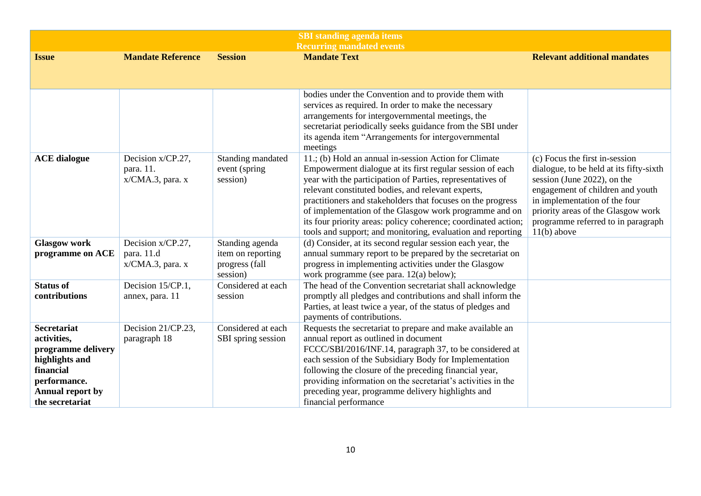| <b>SBI</b> standing agenda items                                                                                                                     |                                                     |                                                                    |                                                                                                                                                                                                                                                                                                                                                                                                                                                                                                  |                                                                                                                                                                                                                                                                            |
|------------------------------------------------------------------------------------------------------------------------------------------------------|-----------------------------------------------------|--------------------------------------------------------------------|--------------------------------------------------------------------------------------------------------------------------------------------------------------------------------------------------------------------------------------------------------------------------------------------------------------------------------------------------------------------------------------------------------------------------------------------------------------------------------------------------|----------------------------------------------------------------------------------------------------------------------------------------------------------------------------------------------------------------------------------------------------------------------------|
|                                                                                                                                                      |                                                     |                                                                    | <b>Recurring mandated events</b>                                                                                                                                                                                                                                                                                                                                                                                                                                                                 |                                                                                                                                                                                                                                                                            |
| <b>Issue</b>                                                                                                                                         | <b>Mandate Reference</b>                            | <b>Session</b>                                                     | <b>Mandate Text</b>                                                                                                                                                                                                                                                                                                                                                                                                                                                                              | <b>Relevant additional mandates</b>                                                                                                                                                                                                                                        |
|                                                                                                                                                      |                                                     |                                                                    |                                                                                                                                                                                                                                                                                                                                                                                                                                                                                                  |                                                                                                                                                                                                                                                                            |
|                                                                                                                                                      |                                                     |                                                                    |                                                                                                                                                                                                                                                                                                                                                                                                                                                                                                  |                                                                                                                                                                                                                                                                            |
|                                                                                                                                                      |                                                     |                                                                    | bodies under the Convention and to provide them with<br>services as required. In order to make the necessary<br>arrangements for intergovernmental meetings, the<br>secretariat periodically seeks guidance from the SBI under<br>its agenda item "Arrangements for intergovernmental                                                                                                                                                                                                            |                                                                                                                                                                                                                                                                            |
|                                                                                                                                                      |                                                     |                                                                    | meetings                                                                                                                                                                                                                                                                                                                                                                                                                                                                                         |                                                                                                                                                                                                                                                                            |
| <b>ACE</b> dialogue                                                                                                                                  | Decision x/CP.27,<br>para. 11.<br>x/CMA.3, para. x  | Standing mandated<br>event (spring<br>session)                     | 11.; (b) Hold an annual in-session Action for Climate<br>Empowerment dialogue at its first regular session of each<br>year with the participation of Parties, representatives of<br>relevant constituted bodies, and relevant experts,<br>practitioners and stakeholders that focuses on the progress<br>of implementation of the Glasgow work programme and on<br>its four priority areas: policy coherence; coordinated action;<br>tools and support; and monitoring, evaluation and reporting | (c) Focus the first in-session<br>dialogue, to be held at its fifty-sixth<br>session (June 2022), on the<br>engagement of children and youth<br>in implementation of the four<br>priority areas of the Glasgow work<br>programme referred to in paragraph<br>$11(b)$ above |
| <b>Glasgow work</b><br>programme on ACE                                                                                                              | Decision x/CP.27,<br>para. 11.d<br>x/CMA.3, para. x | Standing agenda<br>item on reporting<br>progress (fall<br>session) | (d) Consider, at its second regular session each year, the<br>annual summary report to be prepared by the secretariat on<br>progress in implementing activities under the Glasgow<br>work programme (see para. 12(a) below);                                                                                                                                                                                                                                                                     |                                                                                                                                                                                                                                                                            |
| <b>Status of</b><br>contributions                                                                                                                    | Decision 15/CP.1,<br>annex, para. 11                | Considered at each<br>session                                      | The head of the Convention secretariat shall acknowledge<br>promptly all pledges and contributions and shall inform the<br>Parties, at least twice a year, of the status of pledges and<br>payments of contributions.                                                                                                                                                                                                                                                                            |                                                                                                                                                                                                                                                                            |
| <b>Secretariat</b><br>activities,<br>programme delivery<br>highlights and<br>financial<br>performance.<br><b>Annual report by</b><br>the secretariat | Decision 21/CP.23,<br>paragraph 18                  | Considered at each<br>SBI spring session                           | Requests the secretariat to prepare and make available an<br>annual report as outlined in document<br>FCCC/SBI/2016/INF.14, paragraph 37, to be considered at<br>each session of the Subsidiary Body for Implementation<br>following the closure of the preceding financial year,<br>providing information on the secretariat's activities in the<br>preceding year, programme delivery highlights and<br>financial performance                                                                  |                                                                                                                                                                                                                                                                            |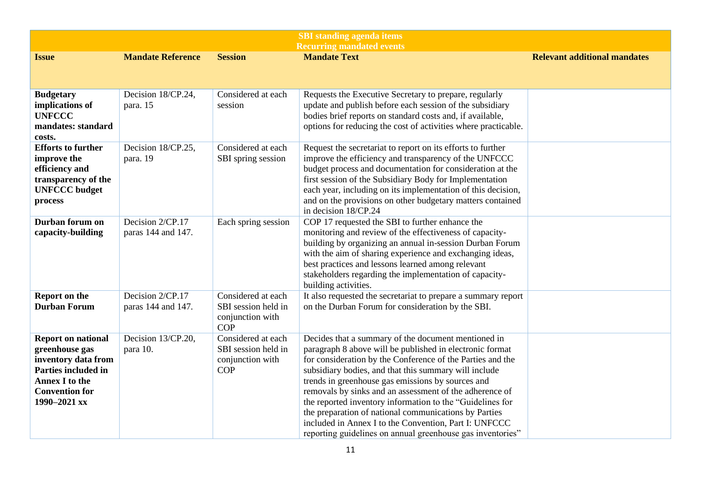| <b>SBI</b> standing agenda items                                                                                                                                   |                                        |                                                                             |                                                                                                                                                                                                                                                                                                                                                                                                                                                                                                                                                                                                     |                                     |
|--------------------------------------------------------------------------------------------------------------------------------------------------------------------|----------------------------------------|-----------------------------------------------------------------------------|-----------------------------------------------------------------------------------------------------------------------------------------------------------------------------------------------------------------------------------------------------------------------------------------------------------------------------------------------------------------------------------------------------------------------------------------------------------------------------------------------------------------------------------------------------------------------------------------------------|-------------------------------------|
| <b>Issue</b>                                                                                                                                                       | <b>Mandate Reference</b>               | <b>Session</b>                                                              | <b>Recurring mandated events</b><br><b>Mandate Text</b>                                                                                                                                                                                                                                                                                                                                                                                                                                                                                                                                             | <b>Relevant additional mandates</b> |
|                                                                                                                                                                    |                                        |                                                                             |                                                                                                                                                                                                                                                                                                                                                                                                                                                                                                                                                                                                     |                                     |
| <b>Budgetary</b><br>implications of<br><b>UNFCCC</b><br>mandates: standard<br>costs.                                                                               | Decision 18/CP.24,<br>para. 15         | Considered at each<br>session                                               | Requests the Executive Secretary to prepare, regularly<br>update and publish before each session of the subsidiary<br>bodies brief reports on standard costs and, if available,<br>options for reducing the cost of activities where practicable.                                                                                                                                                                                                                                                                                                                                                   |                                     |
| <b>Efforts to further</b><br>improve the<br>efficiency and<br>transparency of the<br><b>UNFCCC</b> budget<br>process                                               | Decision 18/CP.25,<br>para. 19         | Considered at each<br>SBI spring session                                    | Request the secretariat to report on its efforts to further<br>improve the efficiency and transparency of the UNFCCC<br>budget process and documentation for consideration at the<br>first session of the Subsidiary Body for Implementation<br>each year, including on its implementation of this decision,<br>and on the provisions on other budgetary matters contained<br>in decision 18/CP.24                                                                                                                                                                                                  |                                     |
| Durban forum on<br>capacity-building                                                                                                                               | Decision 2/CP.17<br>paras 144 and 147. | Each spring session                                                         | COP 17 requested the SBI to further enhance the<br>monitoring and review of the effectiveness of capacity-<br>building by organizing an annual in-session Durban Forum<br>with the aim of sharing experience and exchanging ideas,<br>best practices and lessons learned among relevant<br>stakeholders regarding the implementation of capacity-<br>building activities.                                                                                                                                                                                                                           |                                     |
| <b>Report on the</b><br><b>Durban Forum</b>                                                                                                                        | Decision 2/CP.17<br>paras 144 and 147. | Considered at each<br>SBI session held in<br>conjunction with<br><b>COP</b> | It also requested the secretariat to prepare a summary report<br>on the Durban Forum for consideration by the SBI.                                                                                                                                                                                                                                                                                                                                                                                                                                                                                  |                                     |
| <b>Report on national</b><br>greenhouse gas<br>inventory data from<br><b>Parties included in</b><br><b>Annex I to the</b><br><b>Convention for</b><br>1990-2021 xx | Decision 13/CP.20,<br>para 10.         | Considered at each<br>SBI session held in<br>conjunction with<br><b>COP</b> | Decides that a summary of the document mentioned in<br>paragraph 8 above will be published in electronic format<br>for consideration by the Conference of the Parties and the<br>subsidiary bodies, and that this summary will include<br>trends in greenhouse gas emissions by sources and<br>removals by sinks and an assessment of the adherence of<br>the reported inventory information to the "Guidelines for<br>the preparation of national communications by Parties<br>included in Annex I to the Convention, Part I: UNFCCC<br>reporting guidelines on annual greenhouse gas inventories" |                                     |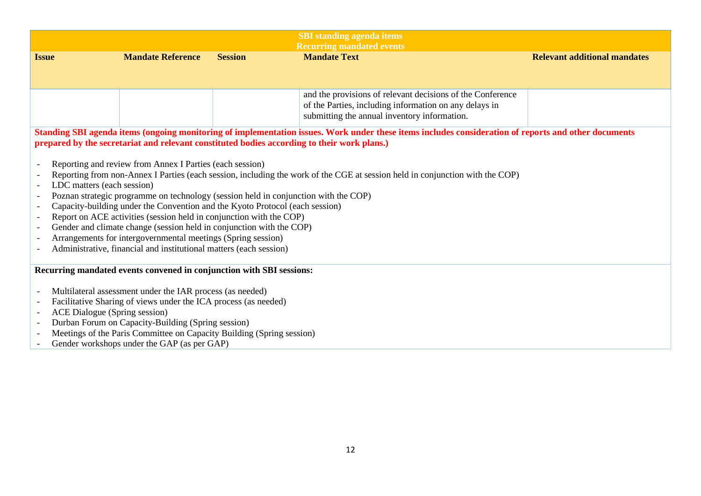| <b>SBI</b> standing agenda items                                                                                                                                                                                                                                                                                                                                                                                                                                                                                                                                                                                                                                                   |                                                                                                                                                                                                                                                                                                                                                                      |                |                                                                                                                                                                      |                                     |  |  |
|------------------------------------------------------------------------------------------------------------------------------------------------------------------------------------------------------------------------------------------------------------------------------------------------------------------------------------------------------------------------------------------------------------------------------------------------------------------------------------------------------------------------------------------------------------------------------------------------------------------------------------------------------------------------------------|----------------------------------------------------------------------------------------------------------------------------------------------------------------------------------------------------------------------------------------------------------------------------------------------------------------------------------------------------------------------|----------------|----------------------------------------------------------------------------------------------------------------------------------------------------------------------|-------------------------------------|--|--|
| <b>Issue</b>                                                                                                                                                                                                                                                                                                                                                                                                                                                                                                                                                                                                                                                                       | <b>Mandate Reference</b>                                                                                                                                                                                                                                                                                                                                             | <b>Session</b> | <b>Recurring mandated events</b><br><b>Mandate Text</b>                                                                                                              | <b>Relevant additional mandates</b> |  |  |
|                                                                                                                                                                                                                                                                                                                                                                                                                                                                                                                                                                                                                                                                                    |                                                                                                                                                                                                                                                                                                                                                                      |                |                                                                                                                                                                      |                                     |  |  |
|                                                                                                                                                                                                                                                                                                                                                                                                                                                                                                                                                                                                                                                                                    |                                                                                                                                                                                                                                                                                                                                                                      |                |                                                                                                                                                                      |                                     |  |  |
|                                                                                                                                                                                                                                                                                                                                                                                                                                                                                                                                                                                                                                                                                    |                                                                                                                                                                                                                                                                                                                                                                      |                | and the provisions of relevant decisions of the Conference<br>of the Parties, including information on any delays in<br>submitting the annual inventory information. |                                     |  |  |
|                                                                                                                                                                                                                                                                                                                                                                                                                                                                                                                                                                                                                                                                                    | prepared by the secretariat and relevant constituted bodies according to their work plans.)                                                                                                                                                                                                                                                                          |                | Standing SBI agenda items (ongoing monitoring of implementation issues. Work under these items includes consideration of reports and other documents                 |                                     |  |  |
| Reporting and review from Annex I Parties (each session)<br>Reporting from non-Annex I Parties (each session, including the work of the CGE at session held in conjunction with the COP)<br>LDC matters (each session)<br>Poznan strategic programme on technology (session held in conjunction with the COP)<br>Capacity-building under the Convention and the Kyoto Protocol (each session)<br>Report on ACE activities (session held in conjunction with the COP)<br>Gender and climate change (session held in conjunction with the COP)<br>Arrangements for intergovernmental meetings (Spring session)<br>Administrative, financial and institutional matters (each session) |                                                                                                                                                                                                                                                                                                                                                                      |                |                                                                                                                                                                      |                                     |  |  |
|                                                                                                                                                                                                                                                                                                                                                                                                                                                                                                                                                                                                                                                                                    |                                                                                                                                                                                                                                                                                                                                                                      |                |                                                                                                                                                                      |                                     |  |  |
| Gender workshops under the GAP (as per GAP)                                                                                                                                                                                                                                                                                                                                                                                                                                                                                                                                                                                                                                        | Recurring mandated events convened in conjunction with SBI sessions:<br>Multilateral assessment under the IAR process (as needed)<br>Facilitative Sharing of views under the ICA process (as needed)<br>ACE Dialogue (Spring session)<br>Durban Forum on Capacity-Building (Spring session)<br>Meetings of the Paris Committee on Capacity Building (Spring session) |                |                                                                                                                                                                      |                                     |  |  |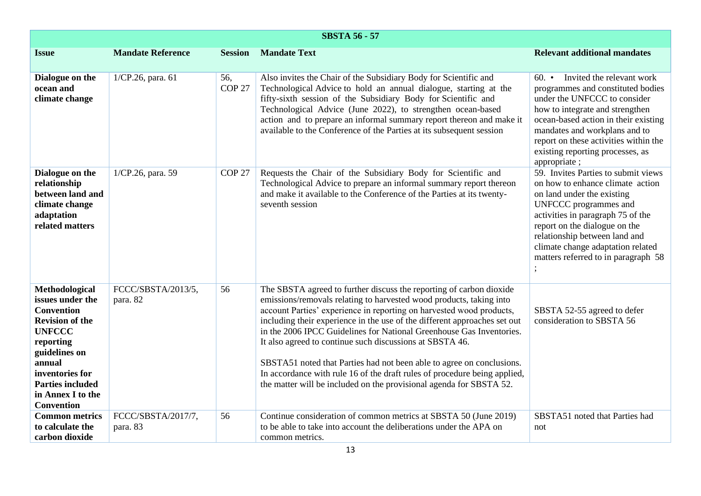| <b>SBSTA 56 - 57</b>                                                                                                                                                                                                               |                                |                          |                                                                                                                                                                                                                                                                                                                                                                                                                                                                                                                                                                                                                                                                  |                                                                                                                                                                                                                                                                                                                            |  |
|------------------------------------------------------------------------------------------------------------------------------------------------------------------------------------------------------------------------------------|--------------------------------|--------------------------|------------------------------------------------------------------------------------------------------------------------------------------------------------------------------------------------------------------------------------------------------------------------------------------------------------------------------------------------------------------------------------------------------------------------------------------------------------------------------------------------------------------------------------------------------------------------------------------------------------------------------------------------------------------|----------------------------------------------------------------------------------------------------------------------------------------------------------------------------------------------------------------------------------------------------------------------------------------------------------------------------|--|
| <b>Issue</b>                                                                                                                                                                                                                       | <b>Mandate Reference</b>       | <b>Session</b>           | <b>Mandate Text</b>                                                                                                                                                                                                                                                                                                                                                                                                                                                                                                                                                                                                                                              | <b>Relevant additional mandates</b>                                                                                                                                                                                                                                                                                        |  |
| Dialogue on the<br>ocean and<br>climate change                                                                                                                                                                                     | 1/CP.26, para. 61              | 56,<br>COP <sub>27</sub> | Also invites the Chair of the Subsidiary Body for Scientific and<br>Technological Advice to hold an annual dialogue, starting at the<br>fifty-sixth session of the Subsidiary Body for Scientific and<br>Technological Advice (June 2022), to strengthen ocean-based<br>action and to prepare an informal summary report thereon and make it<br>available to the Conference of the Parties at its subsequent session                                                                                                                                                                                                                                             | Invited the relevant work<br>$60.$ $\bullet$<br>programmes and constituted bodies<br>under the UNFCCC to consider<br>how to integrate and strengthen<br>ocean-based action in their existing<br>mandates and workplans and to<br>report on these activities within the<br>existing reporting processes, as<br>appropriate; |  |
| Dialogue on the<br>relationship<br>between land and<br>climate change<br>adaptation<br>related matters                                                                                                                             | 1/CP.26, para. 59              | COP <sub>27</sub>        | Requests the Chair of the Subsidiary Body for Scientific and<br>Technological Advice to prepare an informal summary report thereon<br>and make it available to the Conference of the Parties at its twenty-<br>seventh session                                                                                                                                                                                                                                                                                                                                                                                                                                   | 59. Invites Parties to submit views<br>on how to enhance climate action<br>on land under the existing<br>UNFCCC programmes and<br>activities in paragraph 75 of the<br>report on the dialogue on the<br>relationship between land and<br>climate change adaptation related<br>matters referred to in paragraph 58          |  |
| Methodological<br>issues under the<br><b>Convention</b><br><b>Revision of the</b><br><b>UNFCCC</b><br>reporting<br>guidelines on<br>annual<br>inventories for<br><b>Parties included</b><br>in Annex I to the<br><b>Convention</b> | FCCC/SBSTA/2013/5,<br>para. 82 | 56                       | The SBSTA agreed to further discuss the reporting of carbon dioxide<br>emissions/removals relating to harvested wood products, taking into<br>account Parties' experience in reporting on harvested wood products,<br>including their experience in the use of the different approaches set out<br>in the 2006 IPCC Guidelines for National Greenhouse Gas Inventories.<br>It also agreed to continue such discussions at SBSTA 46.<br>SBSTA51 noted that Parties had not been able to agree on conclusions.<br>In accordance with rule 16 of the draft rules of procedure being applied,<br>the matter will be included on the provisional agenda for SBSTA 52. | SBSTA 52-55 agreed to defer<br>consideration to SBSTA 56                                                                                                                                                                                                                                                                   |  |
| <b>Common metrics</b><br>to calculate the<br>carbon dioxide                                                                                                                                                                        | FCCC/SBSTA/2017/7,<br>para. 83 | 56                       | Continue consideration of common metrics at SBSTA 50 (June 2019)<br>to be able to take into account the deliberations under the APA on<br>common metrics.                                                                                                                                                                                                                                                                                                                                                                                                                                                                                                        | SBSTA51 noted that Parties had<br>not                                                                                                                                                                                                                                                                                      |  |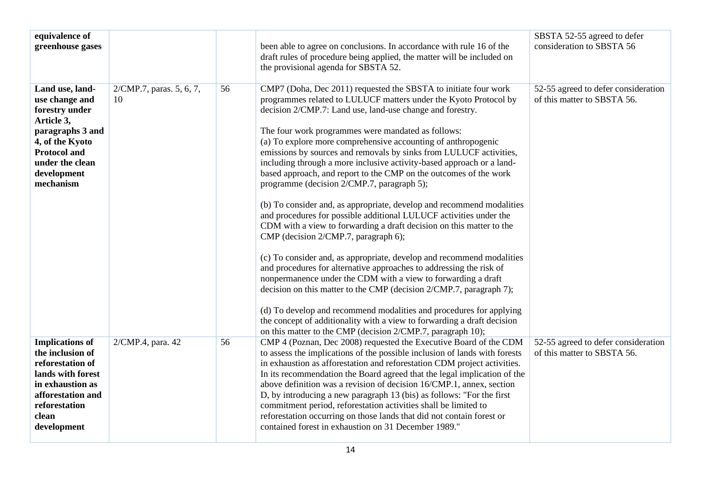| equivalence of<br>greenhouse gases                                                                                                                                             |                                |    | been able to agree on conclusions. In accordance with rule 16 of the<br>draft rules of procedure being applied, the matter will be included on<br>the provisional agenda for SBSTA 52.                                                                                                                                                                                                                                                                                                                                                                                                                                                                                                                                                                                                                                                                                                                                                                                                                                                                                                                                                                                                                                                                                                                                                                            | SBSTA 52-55 agreed to defer<br>consideration to SBSTA 56           |
|--------------------------------------------------------------------------------------------------------------------------------------------------------------------------------|--------------------------------|----|-------------------------------------------------------------------------------------------------------------------------------------------------------------------------------------------------------------------------------------------------------------------------------------------------------------------------------------------------------------------------------------------------------------------------------------------------------------------------------------------------------------------------------------------------------------------------------------------------------------------------------------------------------------------------------------------------------------------------------------------------------------------------------------------------------------------------------------------------------------------------------------------------------------------------------------------------------------------------------------------------------------------------------------------------------------------------------------------------------------------------------------------------------------------------------------------------------------------------------------------------------------------------------------------------------------------------------------------------------------------|--------------------------------------------------------------------|
| Land use, land-<br>use change and<br>forestry under<br>Article 3,<br>paragraphs 3 and<br>4, of the Kyoto<br><b>Protocol and</b><br>under the clean<br>development<br>mechanism | 2/CMP.7, paras. 5, 6, 7,<br>10 | 56 | CMP7 (Doha, Dec 2011) requested the SBSTA to initiate four work<br>programmes related to LULUCF matters under the Kyoto Protocol by<br>decision 2/CMP.7: Land use, land-use change and forestry.<br>The four work programmes were mandated as follows:<br>(a) To explore more comprehensive accounting of anthropogenic<br>emissions by sources and removals by sinks from LULUCF activities,<br>including through a more inclusive activity-based approach or a land-<br>based approach, and report to the CMP on the outcomes of the work<br>programme (decision 2/CMP.7, paragraph 5);<br>(b) To consider and, as appropriate, develop and recommend modalities<br>and procedures for possible additional LULUCF activities under the<br>CDM with a view to forwarding a draft decision on this matter to the<br>CMP (decision 2/CMP.7, paragraph 6);<br>(c) To consider and, as appropriate, develop and recommend modalities<br>and procedures for alternative approaches to addressing the risk of<br>nonpermanence under the CDM with a view to forwarding a draft<br>decision on this matter to the CMP (decision 2/CMP.7, paragraph 7);<br>(d) To develop and recommend modalities and procedures for applying<br>the concept of additionality with a view to forwarding a draft decision<br>on this matter to the CMP (decision 2/CMP.7, paragraph 10); | 52-55 agreed to defer consideration<br>of this matter to SBSTA 56. |
| <b>Implications of</b><br>the inclusion of<br>reforestation of<br>lands with forest<br>in exhaustion as<br>afforestation and<br>reforestation<br>clean<br>development          | 2/CMP.4, para. 42              | 56 | CMP 4 (Poznan, Dec 2008) requested the Executive Board of the CDM<br>to assess the implications of the possible inclusion of lands with forests<br>in exhaustion as afforestation and reforestation CDM project activities.<br>In its recommendation the Board agreed that the legal implication of the<br>above definition was a revision of decision 16/CMP.1, annex, section<br>D, by introducing a new paragraph 13 (bis) as follows: "For the first<br>commitment period, reforestation activities shall be limited to<br>reforestation occurring on those lands that did not contain forest or<br>contained forest in exhaustion on 31 December 1989."                                                                                                                                                                                                                                                                                                                                                                                                                                                                                                                                                                                                                                                                                                      | 52-55 agreed to defer consideration<br>of this matter to SBSTA 56. |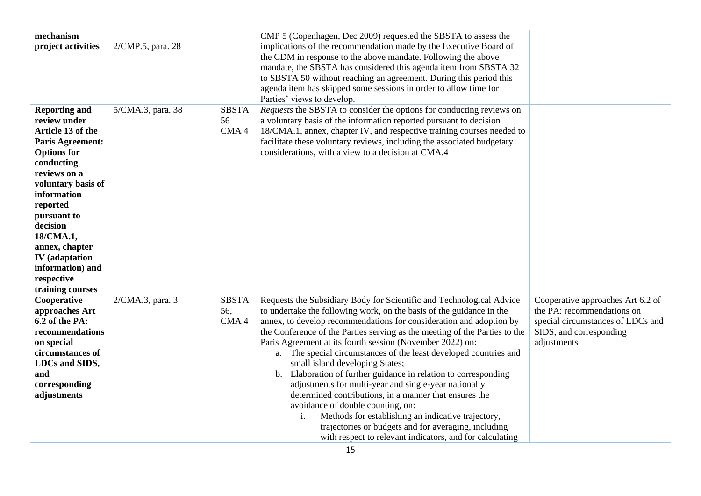| mechanism<br>project activities                                                                                                                                                                                                                                                                                                    | 2/CMP.5, para. 28 |                             | CMP 5 (Copenhagen, Dec 2009) requested the SBSTA to assess the<br>implications of the recommendation made by the Executive Board of<br>the CDM in response to the above mandate. Following the above<br>mandate, the SBSTA has considered this agenda item from SBSTA 32<br>to SBSTA 50 without reaching an agreement. During this period this<br>agenda item has skipped some sessions in order to allow time for<br>Parties' views to develop.                                                                                                                                                                                                                                                                                                                                                                                                                                  |                                                                                                                                                |
|------------------------------------------------------------------------------------------------------------------------------------------------------------------------------------------------------------------------------------------------------------------------------------------------------------------------------------|-------------------|-----------------------------|-----------------------------------------------------------------------------------------------------------------------------------------------------------------------------------------------------------------------------------------------------------------------------------------------------------------------------------------------------------------------------------------------------------------------------------------------------------------------------------------------------------------------------------------------------------------------------------------------------------------------------------------------------------------------------------------------------------------------------------------------------------------------------------------------------------------------------------------------------------------------------------|------------------------------------------------------------------------------------------------------------------------------------------------|
| <b>Reporting and</b><br>review under<br>Article 13 of the<br><b>Paris Agreement:</b><br><b>Options</b> for<br>conducting<br>reviews on a<br>voluntary basis of<br>information<br>reported<br>pursuant to<br>decision<br>18/CMA.1,<br>annex, chapter<br><b>IV</b> (adaptation<br>information) and<br>respective<br>training courses | 5/CMA.3, para. 38 | <b>SBSTA</b><br>56<br>CMA4  | Requests the SBSTA to consider the options for conducting reviews on<br>a voluntary basis of the information reported pursuant to decision<br>18/CMA.1, annex, chapter IV, and respective training courses needed to<br>facilitate these voluntary reviews, including the associated budgetary<br>considerations, with a view to a decision at CMA.4                                                                                                                                                                                                                                                                                                                                                                                                                                                                                                                              |                                                                                                                                                |
| Cooperative<br>approaches Art<br>6.2 of the PA:<br>recommendations<br>on special<br>circumstances of<br>LDCs and SIDS,<br>and<br>corresponding<br>adjustments                                                                                                                                                                      | 2/CMA.3, para. 3  | <b>SBSTA</b><br>56,<br>CMA4 | Requests the Subsidiary Body for Scientific and Technological Advice<br>to undertake the following work, on the basis of the guidance in the<br>annex, to develop recommendations for consideration and adoption by<br>the Conference of the Parties serving as the meeting of the Parties to the<br>Paris Agreement at its fourth session (November 2022) on:<br>a. The special circumstances of the least developed countries and<br>small island developing States;<br>b. Elaboration of further guidance in relation to corresponding<br>adjustments for multi-year and single-year nationally<br>determined contributions, in a manner that ensures the<br>avoidance of double counting, on:<br>Methods for establishing an indicative trajectory,<br>i.<br>trajectories or budgets and for averaging, including<br>with respect to relevant indicators, and for calculating | Cooperative approaches Art 6.2 of<br>the PA: recommendations on<br>special circumstances of LDCs and<br>SIDS, and corresponding<br>adjustments |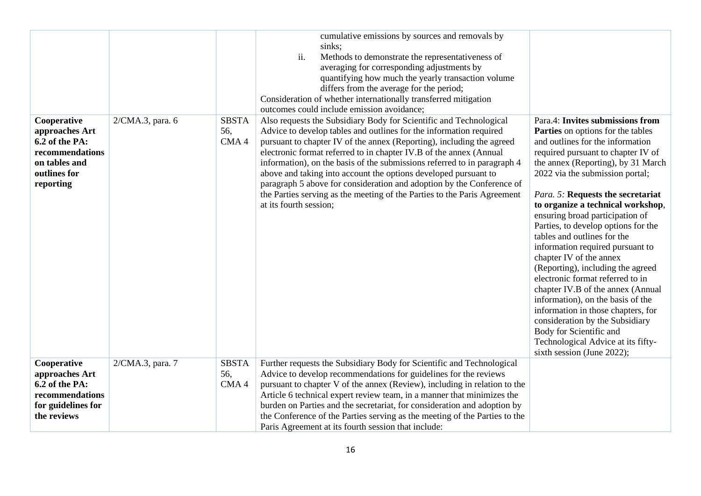|                                                                                                                  |                  |                             | cumulative emissions by sources and removals by<br>sinks;<br>ii.<br>Methods to demonstrate the representativeness of<br>averaging for corresponding adjustments by<br>quantifying how much the yearly transaction volume<br>differs from the average for the period;<br>Consideration of whether internationally transferred mitigation<br>outcomes could include emission avoidance;                                                                                                                                                                                                                                 |                                                                                                                                                                                                                                                                                                                                                                                                                                                                                                                                                                                                                                                                                                                                                                                                              |
|------------------------------------------------------------------------------------------------------------------|------------------|-----------------------------|-----------------------------------------------------------------------------------------------------------------------------------------------------------------------------------------------------------------------------------------------------------------------------------------------------------------------------------------------------------------------------------------------------------------------------------------------------------------------------------------------------------------------------------------------------------------------------------------------------------------------|--------------------------------------------------------------------------------------------------------------------------------------------------------------------------------------------------------------------------------------------------------------------------------------------------------------------------------------------------------------------------------------------------------------------------------------------------------------------------------------------------------------------------------------------------------------------------------------------------------------------------------------------------------------------------------------------------------------------------------------------------------------------------------------------------------------|
| Cooperative<br>approaches Art<br>6.2 of the PA:<br>recommendations<br>on tables and<br>outlines for<br>reporting | 2/CMA.3, para. 6 | <b>SBSTA</b><br>56,<br>CMA4 | Also requests the Subsidiary Body for Scientific and Technological<br>Advice to develop tables and outlines for the information required<br>pursuant to chapter IV of the annex (Reporting), including the agreed<br>electronic format referred to in chapter IV.B of the annex (Annual<br>information), on the basis of the submissions referred to in paragraph 4<br>above and taking into account the options developed pursuant to<br>paragraph 5 above for consideration and adoption by the Conference of<br>the Parties serving as the meeting of the Parties to the Paris Agreement<br>at its fourth session; | Para.4: Invites submissions from<br><b>Parties</b> on options for the tables<br>and outlines for the information<br>required pursuant to chapter IV of<br>the annex (Reporting), by 31 March<br>2022 via the submission portal;<br>Para. 5: Requests the secretariat<br>to organize a technical workshop,<br>ensuring broad participation of<br>Parties, to develop options for the<br>tables and outlines for the<br>information required pursuant to<br>chapter IV of the annex<br>(Reporting), including the agreed<br>electronic format referred to in<br>chapter IV.B of the annex (Annual<br>information), on the basis of the<br>information in those chapters, for<br>consideration by the Subsidiary<br>Body for Scientific and<br>Technological Advice at its fifty-<br>sixth session (June 2022); |
| Cooperative<br>approaches Art<br>6.2 of the PA:<br>recommendations<br>for guidelines for<br>the reviews          | 2/CMA.3, para. 7 | <b>SBSTA</b><br>56,<br>CMA4 | Further requests the Subsidiary Body for Scientific and Technological<br>Advice to develop recommendations for guidelines for the reviews<br>pursuant to chapter V of the annex (Review), including in relation to the<br>Article 6 technical expert review team, in a manner that minimizes the<br>burden on Parties and the secretariat, for consideration and adoption by<br>the Conference of the Parties serving as the meeting of the Parties to the<br>Paris Agreement at its fourth session that include:                                                                                                     |                                                                                                                                                                                                                                                                                                                                                                                                                                                                                                                                                                                                                                                                                                                                                                                                              |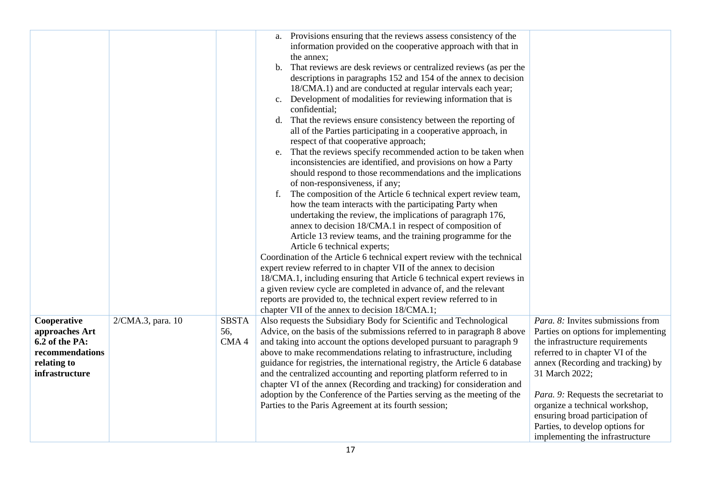|                                                                                                     |                   |                             | Provisions ensuring that the reviews assess consistency of the<br>a.<br>information provided on the cooperative approach with that in<br>the annex;<br>That reviews are desk reviews or centralized reviews (as per the<br>b.<br>descriptions in paragraphs 152 and 154 of the annex to decision<br>18/CMA.1) and are conducted at regular intervals each year;<br>Development of modalities for reviewing information that is<br>$c_{\cdot}$<br>confidential;<br>That the reviews ensure consistency between the reporting of<br>d.<br>all of the Parties participating in a cooperative approach, in<br>respect of that cooperative approach;<br>That the reviews specify recommended action to be taken when<br>e.<br>inconsistencies are identified, and provisions on how a Party<br>should respond to those recommendations and the implications<br>of non-responsiveness, if any;<br>The composition of the Article 6 technical expert review team,<br>f.<br>how the team interacts with the participating Party when<br>undertaking the review, the implications of paragraph 176,<br>annex to decision 18/CMA.1 in respect of composition of<br>Article 13 review teams, and the training programme for the<br>Article 6 technical experts;<br>Coordination of the Article 6 technical expert review with the technical<br>expert review referred to in chapter VII of the annex to decision<br>18/CMA.1, including ensuring that Article 6 technical expert reviews in<br>a given review cycle are completed in advance of, and the relevant<br>reports are provided to, the technical expert review referred to in<br>chapter VII of the annex to decision 18/CMA.1; |                                                                                                                                                                                                                                                                                                                                                                                           |
|-----------------------------------------------------------------------------------------------------|-------------------|-----------------------------|---------------------------------------------------------------------------------------------------------------------------------------------------------------------------------------------------------------------------------------------------------------------------------------------------------------------------------------------------------------------------------------------------------------------------------------------------------------------------------------------------------------------------------------------------------------------------------------------------------------------------------------------------------------------------------------------------------------------------------------------------------------------------------------------------------------------------------------------------------------------------------------------------------------------------------------------------------------------------------------------------------------------------------------------------------------------------------------------------------------------------------------------------------------------------------------------------------------------------------------------------------------------------------------------------------------------------------------------------------------------------------------------------------------------------------------------------------------------------------------------------------------------------------------------------------------------------------------------------------------------------------------------------------------------------------|-------------------------------------------------------------------------------------------------------------------------------------------------------------------------------------------------------------------------------------------------------------------------------------------------------------------------------------------------------------------------------------------|
| Cooperative<br>approaches Art<br>6.2 of the PA:<br>recommendations<br>relating to<br>infrastructure | 2/CMA.3, para. 10 | <b>SBSTA</b><br>56,<br>CMA4 | Also requests the Subsidiary Body for Scientific and Technological<br>Advice, on the basis of the submissions referred to in paragraph 8 above<br>and taking into account the options developed pursuant to paragraph 9<br>above to make recommendations relating to infrastructure, including<br>guidance for registries, the international registry, the Article 6 database<br>and the centralized accounting and reporting platform referred to in<br>chapter VI of the annex (Recording and tracking) for consideration and<br>adoption by the Conference of the Parties serving as the meeting of the<br>Parties to the Paris Agreement at its fourth session;                                                                                                                                                                                                                                                                                                                                                                                                                                                                                                                                                                                                                                                                                                                                                                                                                                                                                                                                                                                                             | Para. 8: Invites submissions from<br>Parties on options for implementing<br>the infrastructure requirements<br>referred to in chapter VI of the<br>annex (Recording and tracking) by<br>31 March 2022;<br>Para. 9: Requests the secretariat to<br>organize a technical workshop,<br>ensuring broad participation of<br>Parties, to develop options for<br>implementing the infrastructure |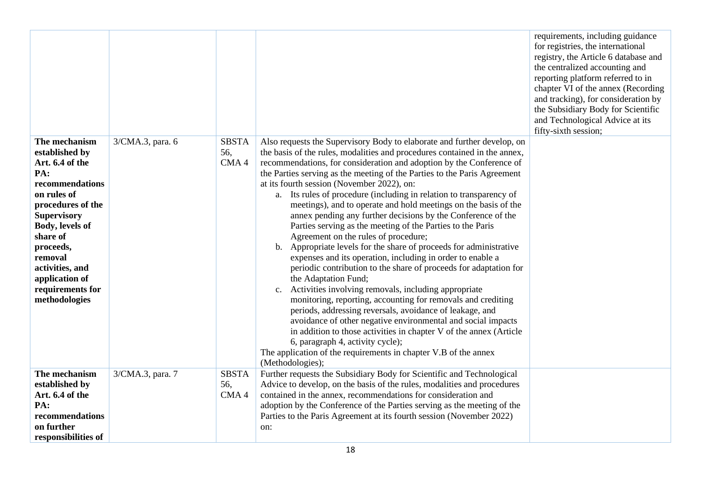|                                                                                                                                                                                                                                                                         |                  |                                         |                                                                                                                                                                                                                                                                                                                                                                                                                                                                                                                                                                                                                                                                                                                                                                                                                                                                                                                                                                                                                                                                                                                                                                                                                                                                                                                                                                 | requirements, including guidance<br>for registries, the international<br>registry, the Article 6 database and<br>the centralized accounting and<br>reporting platform referred to in<br>chapter VI of the annex (Recording<br>and tracking), for consideration by<br>the Subsidiary Body for Scientific<br>and Technological Advice at its<br>fifty-sixth session; |
|-------------------------------------------------------------------------------------------------------------------------------------------------------------------------------------------------------------------------------------------------------------------------|------------------|-----------------------------------------|-----------------------------------------------------------------------------------------------------------------------------------------------------------------------------------------------------------------------------------------------------------------------------------------------------------------------------------------------------------------------------------------------------------------------------------------------------------------------------------------------------------------------------------------------------------------------------------------------------------------------------------------------------------------------------------------------------------------------------------------------------------------------------------------------------------------------------------------------------------------------------------------------------------------------------------------------------------------------------------------------------------------------------------------------------------------------------------------------------------------------------------------------------------------------------------------------------------------------------------------------------------------------------------------------------------------------------------------------------------------|--------------------------------------------------------------------------------------------------------------------------------------------------------------------------------------------------------------------------------------------------------------------------------------------------------------------------------------------------------------------|
| The mechanism<br>established by<br>Art. 6.4 of the<br>PA:<br>recommendations<br>on rules of<br>procedures of the<br><b>Supervisory</b><br>Body, levels of<br>share of<br>proceeds,<br>removal<br>activities, and<br>application of<br>requirements for<br>methodologies | 3/CMA.3, para. 6 | <b>SBSTA</b><br>56,<br>CMA <sub>4</sub> | Also requests the Supervisory Body to elaborate and further develop, on<br>the basis of the rules, modalities and procedures contained in the annex,<br>recommendations, for consideration and adoption by the Conference of<br>the Parties serving as the meeting of the Parties to the Paris Agreement<br>at its fourth session (November 2022), on:<br>a. Its rules of procedure (including in relation to transparency of<br>meetings), and to operate and hold meetings on the basis of the<br>annex pending any further decisions by the Conference of the<br>Parties serving as the meeting of the Parties to the Paris<br>Agreement on the rules of procedure;<br>b. Appropriate levels for the share of proceeds for administrative<br>expenses and its operation, including in order to enable a<br>periodic contribution to the share of proceeds for adaptation for<br>the Adaptation Fund;<br>c. Activities involving removals, including appropriate<br>monitoring, reporting, accounting for removals and crediting<br>periods, addressing reversals, avoidance of leakage, and<br>avoidance of other negative environmental and social impacts<br>in addition to those activities in chapter V of the annex (Article<br>6, paragraph 4, activity cycle);<br>The application of the requirements in chapter V.B of the annex<br>(Methodologies); |                                                                                                                                                                                                                                                                                                                                                                    |
| The mechanism<br>established by<br>Art. 6.4 of the<br>PA:<br>recommendations<br>on further<br>responsibilities of                                                                                                                                                       | 3/CMA.3, para. 7 | <b>SBSTA</b><br>56,<br>CMA <sub>4</sub> | Further requests the Subsidiary Body for Scientific and Technological<br>Advice to develop, on the basis of the rules, modalities and procedures<br>contained in the annex, recommendations for consideration and<br>adoption by the Conference of the Parties serving as the meeting of the<br>Parties to the Paris Agreement at its fourth session (November 2022)<br>on:                                                                                                                                                                                                                                                                                                                                                                                                                                                                                                                                                                                                                                                                                                                                                                                                                                                                                                                                                                                     |                                                                                                                                                                                                                                                                                                                                                                    |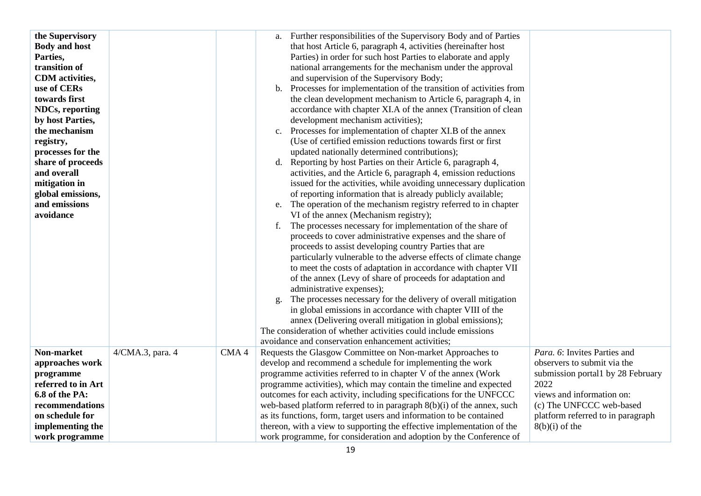| the Supervisory<br><b>Body and host</b><br>Parties,<br>transition of<br><b>CDM</b> activities,<br>use of CERs<br>towards first<br><b>NDCs, reporting</b><br>by host Parties,<br>the mechanism<br>registry,<br>processes for the<br>share of proceeds<br>and overall<br>mitigation in<br>global emissions,<br>and emissions<br>avoidance |                  |                  | Further responsibilities of the Supervisory Body and of Parties<br>a.<br>that host Article 6, paragraph 4, activities (hereinafter host<br>Parties) in order for such host Parties to elaborate and apply<br>national arrangements for the mechanism under the approval<br>and supervision of the Supervisory Body;<br>Processes for implementation of the transition of activities from<br>$\mathbf b$ .<br>the clean development mechanism to Article 6, paragraph 4, in<br>accordance with chapter XI.A of the annex (Transition of clean<br>development mechanism activities);<br>Processes for implementation of chapter XI.B of the annex<br>$c_{\cdot}$<br>(Use of certified emission reductions towards first or first<br>updated nationally determined contributions);<br>Reporting by host Parties on their Article 6, paragraph 4,<br>d.<br>activities, and the Article 6, paragraph 4, emission reductions<br>issued for the activities, while avoiding unnecessary duplication<br>of reporting information that is already publicly available;<br>The operation of the mechanism registry referred to in chapter<br>e.<br>VI of the annex (Mechanism registry);<br>The processes necessary for implementation of the share of<br>f.<br>proceeds to cover administrative expenses and the share of<br>proceeds to assist developing country Parties that are<br>particularly vulnerable to the adverse effects of climate change<br>to meet the costs of adaptation in accordance with chapter VII<br>of the annex (Levy of share of proceeds for adaptation and<br>administrative expenses);<br>The processes necessary for the delivery of overall mitigation<br>g.<br>in global emissions in accordance with chapter VIII of the<br>annex (Delivering overall mitigation in global emissions);<br>The consideration of whether activities could include emissions<br>avoidance and conservation enhancement activities; |                                                                                                                                       |
|-----------------------------------------------------------------------------------------------------------------------------------------------------------------------------------------------------------------------------------------------------------------------------------------------------------------------------------------|------------------|------------------|----------------------------------------------------------------------------------------------------------------------------------------------------------------------------------------------------------------------------------------------------------------------------------------------------------------------------------------------------------------------------------------------------------------------------------------------------------------------------------------------------------------------------------------------------------------------------------------------------------------------------------------------------------------------------------------------------------------------------------------------------------------------------------------------------------------------------------------------------------------------------------------------------------------------------------------------------------------------------------------------------------------------------------------------------------------------------------------------------------------------------------------------------------------------------------------------------------------------------------------------------------------------------------------------------------------------------------------------------------------------------------------------------------------------------------------------------------------------------------------------------------------------------------------------------------------------------------------------------------------------------------------------------------------------------------------------------------------------------------------------------------------------------------------------------------------------------------------------------------------------------------------------------------------------------------------|---------------------------------------------------------------------------------------------------------------------------------------|
| Non-market<br>approaches work<br>programme<br>referred to in Art<br>6.8 of the PA:                                                                                                                                                                                                                                                      | 4/CMA.3, para. 4 | CMA <sub>4</sub> | Requests the Glasgow Committee on Non-market Approaches to<br>develop and recommend a schedule for implementing the work<br>programme activities referred to in chapter V of the annex (Work<br>programme activities), which may contain the timeline and expected<br>outcomes for each activity, including specifications for the UNFCCC                                                                                                                                                                                                                                                                                                                                                                                                                                                                                                                                                                                                                                                                                                                                                                                                                                                                                                                                                                                                                                                                                                                                                                                                                                                                                                                                                                                                                                                                                                                                                                                              | Para, 6: Invites Parties and<br>observers to submit via the<br>submission portal1 by 28 February<br>2022<br>views and information on: |
| recommendations<br>on schedule for<br>implementing the<br>work programme                                                                                                                                                                                                                                                                |                  |                  | web-based platform referred to in paragraph 8(b)(i) of the annex, such<br>as its functions, form, target users and information to be contained<br>thereon, with a view to supporting the effective implementation of the<br>work programme, for consideration and adoption by the Conference of                                                                                                                                                                                                                                                                                                                                                                                                                                                                                                                                                                                                                                                                                                                                                                                                                                                                                                                                                                                                                                                                                                                                                                                                                                                                                                                                                                                                                                                                                                                                                                                                                                        | (c) The UNFCCC web-based<br>platform referred to in paragraph<br>$8(b)(i)$ of the                                                     |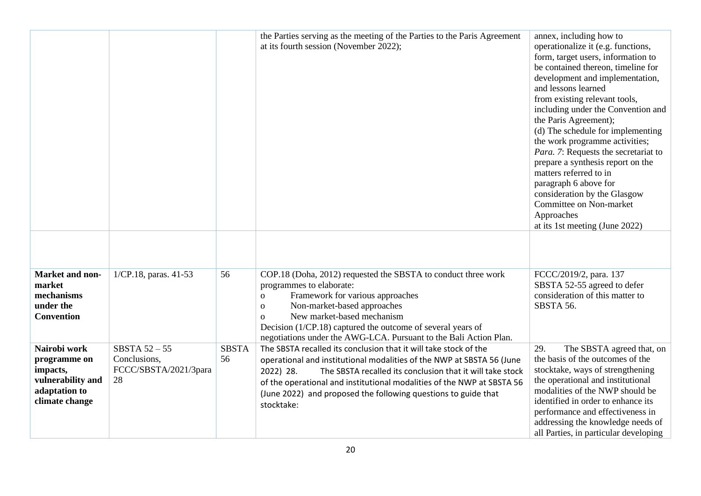|                                                                                                  |                                                                |                    | the Parties serving as the meeting of the Parties to the Paris Agreement<br>at its fourth session (November 2022);                                                                                                                                                                                                                                                            | annex, including how to<br>operationalize it (e.g. functions,<br>form, target users, information to<br>be contained thereon, timeline for<br>development and implementation,<br>and lessons learned<br>from existing relevant tools,<br>including under the Convention and<br>the Paris Agreement);<br>(d) The schedule for implementing<br>the work programme activities;<br>Para. 7: Requests the secretariat to<br>prepare a synthesis report on the<br>matters referred to in<br>paragraph 6 above for<br>consideration by the Glasgow<br>Committee on Non-market<br>Approaches<br>at its 1st meeting (June 2022) |
|--------------------------------------------------------------------------------------------------|----------------------------------------------------------------|--------------------|-------------------------------------------------------------------------------------------------------------------------------------------------------------------------------------------------------------------------------------------------------------------------------------------------------------------------------------------------------------------------------|-----------------------------------------------------------------------------------------------------------------------------------------------------------------------------------------------------------------------------------------------------------------------------------------------------------------------------------------------------------------------------------------------------------------------------------------------------------------------------------------------------------------------------------------------------------------------------------------------------------------------|
| Market and non-<br>market<br>mechanisms<br>under the<br><b>Convention</b>                        | 1/CP.18, paras. 41-53                                          | 56                 | COP.18 (Doha, 2012) requested the SBSTA to conduct three work<br>programmes to elaborate:<br>Framework for various approaches<br>$\mathbf 0$<br>Non-market-based approaches<br>$\mathbf 0$<br>New market-based mechanism<br>$\mathbf{O}$<br>Decision (1/CP.18) captured the outcome of several years of<br>negotiations under the AWG-LCA. Pursuant to the Bali Action Plan.  | FCCC/2019/2, para. 137<br>SBSTA 52-55 agreed to defer<br>consideration of this matter to<br>SBSTA 56.                                                                                                                                                                                                                                                                                                                                                                                                                                                                                                                 |
| Nairobi work<br>programme on<br>impacts,<br>vulnerability and<br>adaptation to<br>climate change | SBSTA $52 - 55$<br>Conclusions,<br>FCCC/SBSTA/2021/3para<br>28 | <b>SBSTA</b><br>56 | The SBSTA recalled its conclusion that it will take stock of the<br>operational and institutional modalities of the NWP at SBSTA 56 (June<br>2022) 28.<br>The SBSTA recalled its conclusion that it will take stock<br>of the operational and institutional modalities of the NWP at SBSTA 56<br>(June 2022) and proposed the following questions to guide that<br>stocktake: | 29.<br>The SBSTA agreed that, on<br>the basis of the outcomes of the<br>stocktake, ways of strengthening<br>the operational and institutional<br>modalities of the NWP should be<br>identified in order to enhance its<br>performance and effectiveness in<br>addressing the knowledge needs of<br>all Parties, in particular developing                                                                                                                                                                                                                                                                              |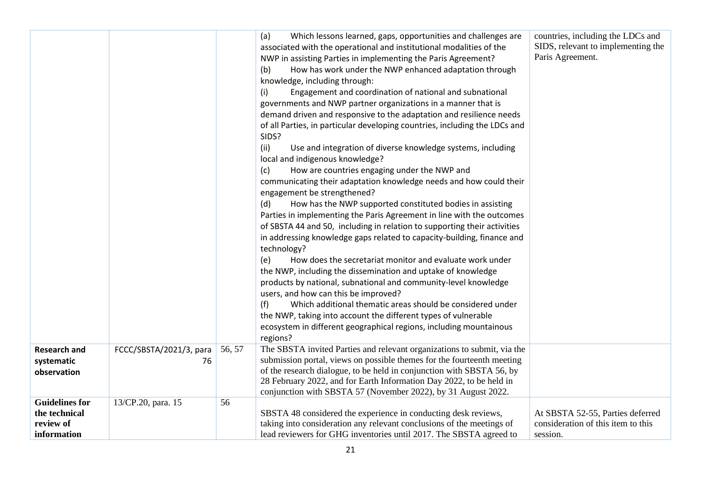| <b>Research and</b>                                                | FCCC/SBSTA/2021/3, para | 56, 57 | (a)<br>Which lessons learned, gaps, opportunities and challenges are<br>associated with the operational and institutional modalities of the<br>NWP in assisting Parties in implementing the Paris Agreement?<br>How has work under the NWP enhanced adaptation through<br>(b)<br>knowledge, including through:<br>Engagement and coordination of national and subnational<br>(i)<br>governments and NWP partner organizations in a manner that is<br>demand driven and responsive to the adaptation and resilience needs<br>of all Parties, in particular developing countries, including the LDCs and<br>SIDS?<br>(ii)<br>Use and integration of diverse knowledge systems, including<br>local and indigenous knowledge?<br>How are countries engaging under the NWP and<br>(c)<br>communicating their adaptation knowledge needs and how could their<br>engagement be strengthened?<br>(d)<br>How has the NWP supported constituted bodies in assisting<br>Parties in implementing the Paris Agreement in line with the outcomes<br>of SBSTA 44 and 50, including in relation to supporting their activities<br>in addressing knowledge gaps related to capacity-building, finance and<br>technology?<br>How does the secretariat monitor and evaluate work under<br>(e)<br>the NWP, including the dissemination and uptake of knowledge<br>products by national, subnational and community-level knowledge<br>users, and how can this be improved?<br>Which additional thematic areas should be considered under<br>(f)<br>the NWP, taking into account the different types of vulnerable<br>ecosystem in different geographical regions, including mountainous<br>regions?<br>The SBSTA invited Parties and relevant organizations to submit, via the | countries, including the LDCs and<br>SIDS, relevant to implementing the<br>Paris Agreement. |
|--------------------------------------------------------------------|-------------------------|--------|-----------------------------------------------------------------------------------------------------------------------------------------------------------------------------------------------------------------------------------------------------------------------------------------------------------------------------------------------------------------------------------------------------------------------------------------------------------------------------------------------------------------------------------------------------------------------------------------------------------------------------------------------------------------------------------------------------------------------------------------------------------------------------------------------------------------------------------------------------------------------------------------------------------------------------------------------------------------------------------------------------------------------------------------------------------------------------------------------------------------------------------------------------------------------------------------------------------------------------------------------------------------------------------------------------------------------------------------------------------------------------------------------------------------------------------------------------------------------------------------------------------------------------------------------------------------------------------------------------------------------------------------------------------------------------------------------------------------------------------------------------------|---------------------------------------------------------------------------------------------|
| systematic<br>observation                                          | 76                      |        | submission portal, views on possible themes for the fourteenth meeting<br>of the research dialogue, to be held in conjunction with SBSTA 56, by<br>28 February 2022, and for Earth Information Day 2022, to be held in<br>conjunction with SBSTA 57 (November 2022), by 31 August 2022.                                                                                                                                                                                                                                                                                                                                                                                                                                                                                                                                                                                                                                                                                                                                                                                                                                                                                                                                                                                                                                                                                                                                                                                                                                                                                                                                                                                                                                                                   |                                                                                             |
| <b>Guidelines for</b><br>the technical<br>review of<br>information | 13/CP.20, para. 15      | 56     | SBSTA 48 considered the experience in conducting desk reviews,<br>taking into consideration any relevant conclusions of the meetings of<br>lead reviewers for GHG inventories until 2017. The SBSTA agreed to                                                                                                                                                                                                                                                                                                                                                                                                                                                                                                                                                                                                                                                                                                                                                                                                                                                                                                                                                                                                                                                                                                                                                                                                                                                                                                                                                                                                                                                                                                                                             | At SBSTA 52-55, Parties deferred<br>consideration of this item to this<br>session.          |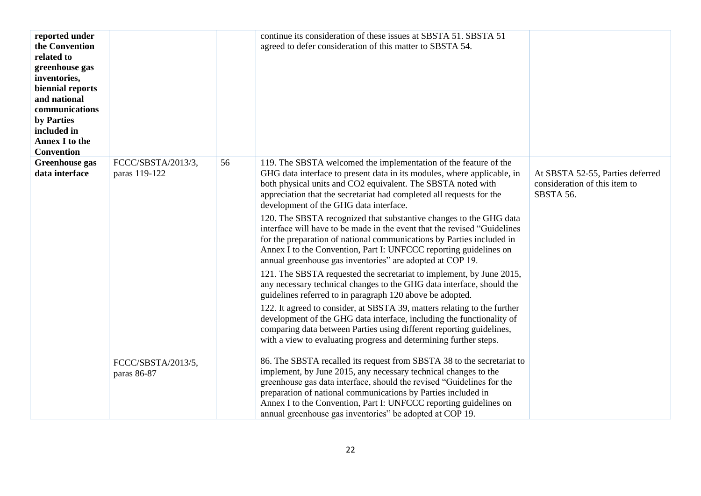| reported under<br>the Convention<br>related to<br>greenhouse gas<br>inventories,<br>biennial reports<br>and national<br>communications<br>by Parties<br>included in<br><b>Annex I to the</b><br><b>Convention</b> |                                     |    | continue its consideration of these issues at SBSTA 51. SBSTA 51<br>agreed to defer consideration of this matter to SBSTA 54.                                                                                                                                                                                                                                                                                                                                                                                                                                                                                                                                                                                                                                                                                                                                                                                                                                                                                                                                                                                                                                                                               |                                                                                |
|-------------------------------------------------------------------------------------------------------------------------------------------------------------------------------------------------------------------|-------------------------------------|----|-------------------------------------------------------------------------------------------------------------------------------------------------------------------------------------------------------------------------------------------------------------------------------------------------------------------------------------------------------------------------------------------------------------------------------------------------------------------------------------------------------------------------------------------------------------------------------------------------------------------------------------------------------------------------------------------------------------------------------------------------------------------------------------------------------------------------------------------------------------------------------------------------------------------------------------------------------------------------------------------------------------------------------------------------------------------------------------------------------------------------------------------------------------------------------------------------------------|--------------------------------------------------------------------------------|
| <b>Greenhouse</b> gas<br>data interface                                                                                                                                                                           | FCCC/SBSTA/2013/3,<br>paras 119-122 | 56 | 119. The SBSTA welcomed the implementation of the feature of the<br>GHG data interface to present data in its modules, where applicable, in<br>both physical units and CO2 equivalent. The SBSTA noted with<br>appreciation that the secretariat had completed all requests for the<br>development of the GHG data interface.<br>120. The SBSTA recognized that substantive changes to the GHG data<br>interface will have to be made in the event that the revised "Guidelines"<br>for the preparation of national communications by Parties included in<br>Annex I to the Convention, Part I: UNFCCC reporting guidelines on<br>annual greenhouse gas inventories" are adopted at COP 19.<br>121. The SBSTA requested the secretariat to implement, by June 2015,<br>any necessary technical changes to the GHG data interface, should the<br>guidelines referred to in paragraph 120 above be adopted.<br>122. It agreed to consider, at SBSTA 39, matters relating to the further<br>development of the GHG data interface, including the functionality of<br>comparing data between Parties using different reporting guidelines,<br>with a view to evaluating progress and determining further steps. | At SBSTA 52-55, Parties deferred<br>consideration of this item to<br>SBSTA 56. |
|                                                                                                                                                                                                                   | FCCC/SBSTA/2013/5,<br>paras 86-87   |    | 86. The SBSTA recalled its request from SBSTA 38 to the secretariat to<br>implement, by June 2015, any necessary technical changes to the<br>greenhouse gas data interface, should the revised "Guidelines for the<br>preparation of national communications by Parties included in<br>Annex I to the Convention, Part I: UNFCCC reporting guidelines on<br>annual greenhouse gas inventories" be adopted at COP 19.                                                                                                                                                                                                                                                                                                                                                                                                                                                                                                                                                                                                                                                                                                                                                                                        |                                                                                |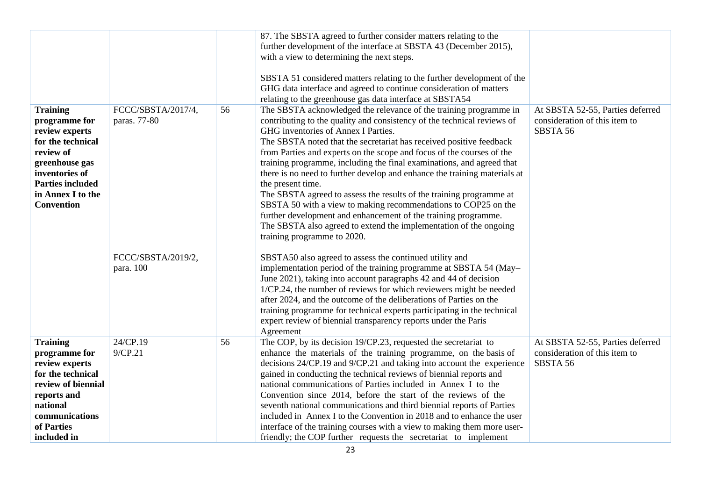|                                                                                                                                                                                               |                                    |    | 87. The SBSTA agreed to further consider matters relating to the<br>further development of the interface at SBSTA 43 (December 2015),<br>with a view to determining the next steps.<br>SBSTA 51 considered matters relating to the further development of the<br>GHG data interface and agreed to continue consideration of matters<br>relating to the greenhouse gas data interface at SBSTA54                                                                                                                                                                                                                                                                                                                                                                                                                               |                                                                               |
|-----------------------------------------------------------------------------------------------------------------------------------------------------------------------------------------------|------------------------------------|----|-------------------------------------------------------------------------------------------------------------------------------------------------------------------------------------------------------------------------------------------------------------------------------------------------------------------------------------------------------------------------------------------------------------------------------------------------------------------------------------------------------------------------------------------------------------------------------------------------------------------------------------------------------------------------------------------------------------------------------------------------------------------------------------------------------------------------------|-------------------------------------------------------------------------------|
| <b>Training</b><br>programme for<br>review experts<br>for the technical<br>review of<br>greenhouse gas<br>inventories of<br><b>Parties included</b><br>in Annex I to the<br><b>Convention</b> | FCCC/SBSTA/2017/4,<br>paras. 77-80 | 56 | The SBSTA acknowledged the relevance of the training programme in<br>contributing to the quality and consistency of the technical reviews of<br>GHG inventories of Annex I Parties.<br>The SBSTA noted that the secretariat has received positive feedback<br>from Parties and experts on the scope and focus of the courses of the<br>training programme, including the final examinations, and agreed that<br>there is no need to further develop and enhance the training materials at<br>the present time.<br>The SBSTA agreed to assess the results of the training programme at<br>SBSTA 50 with a view to making recommendations to COP25 on the<br>further development and enhancement of the training programme.<br>The SBSTA also agreed to extend the implementation of the ongoing<br>training programme to 2020. | At SBSTA 52-55, Parties deferred<br>consideration of this item to<br>SBSTA 56 |
|                                                                                                                                                                                               | FCCC/SBSTA/2019/2,<br>para. 100    |    | SBSTA50 also agreed to assess the continued utility and<br>implementation period of the training programme at SBSTA 54 (May-<br>June 2021), taking into account paragraphs 42 and 44 of decision<br>1/CP.24, the number of reviews for which reviewers might be needed<br>after 2024, and the outcome of the deliberations of Parties on the<br>training programme for technical experts participating in the technical<br>expert review of biennial transparency reports under the Paris<br>Agreement                                                                                                                                                                                                                                                                                                                        |                                                                               |
| <b>Training</b><br>programme for<br>review experts<br>for the technical<br>review of biennial<br>reports and<br>national<br>communications<br>of Parties<br>included in                       | 24/CP.19<br>9/CP.21                | 56 | The COP, by its decision 19/CP.23, requested the secretariat to<br>enhance the materials of the training programme, on the basis of<br>decisions 24/CP.19 and 9/CP.21 and taking into account the experience<br>gained in conducting the technical reviews of biennial reports and<br>national communications of Parties included in Annex I to the<br>Convention since 2014, before the start of the reviews of the<br>seventh national communications and third biennial reports of Parties<br>included in Annex I to the Convention in 2018 and to enhance the user<br>interface of the training courses with a view to making them more user-<br>friendly; the COP further requests the secretariat to implement                                                                                                          | At SBSTA 52-55, Parties deferred<br>consideration of this item to<br>SBSTA 56 |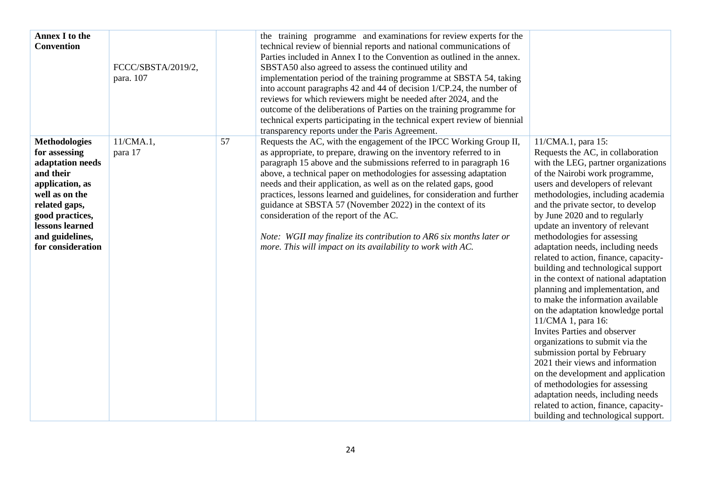| <b>Annex I to the</b><br><b>Convention</b>                                                                                                                                                                 | FCCC/SBSTA/2019/2,<br>para. 107 |    | the training programme and examinations for review experts for the<br>technical review of biennial reports and national communications of<br>Parties included in Annex I to the Convention as outlined in the annex.<br>SBSTA50 also agreed to assess the continued utility and<br>implementation period of the training programme at SBSTA 54, taking<br>into account paragraphs 42 and 44 of decision 1/CP.24, the number of<br>reviews for which reviewers might be needed after 2024, and the<br>outcome of the deliberations of Parties on the training programme for<br>technical experts participating in the technical expert review of biennial<br>transparency reports under the Paris Agreement. |                                                                                                                                                                                                                                                                                                                                                                                                                                                                                                                                                                                                                                                                                                                                                                                                                                                                                                                                                                                                  |
|------------------------------------------------------------------------------------------------------------------------------------------------------------------------------------------------------------|---------------------------------|----|-------------------------------------------------------------------------------------------------------------------------------------------------------------------------------------------------------------------------------------------------------------------------------------------------------------------------------------------------------------------------------------------------------------------------------------------------------------------------------------------------------------------------------------------------------------------------------------------------------------------------------------------------------------------------------------------------------------|--------------------------------------------------------------------------------------------------------------------------------------------------------------------------------------------------------------------------------------------------------------------------------------------------------------------------------------------------------------------------------------------------------------------------------------------------------------------------------------------------------------------------------------------------------------------------------------------------------------------------------------------------------------------------------------------------------------------------------------------------------------------------------------------------------------------------------------------------------------------------------------------------------------------------------------------------------------------------------------------------|
| <b>Methodologies</b><br>for assessing<br>adaptation needs<br>and their<br>application, as<br>well as on the<br>related gaps,<br>good practices,<br>lessons learned<br>and guidelines,<br>for consideration | $11/CMA.1$ ,<br>para 17         | 57 | Requests the AC, with the engagement of the IPCC Working Group II,<br>as appropriate, to prepare, drawing on the inventory referred to in<br>paragraph 15 above and the submissions referred to in paragraph 16<br>above, a technical paper on methodologies for assessing adaptation<br>needs and their application, as well as on the related gaps, good<br>practices, lessons learned and guidelines, for consideration and further<br>guidance at SBSTA 57 (November 2022) in the context of its<br>consideration of the report of the AC.<br>Note: WGII may finalize its contribution to AR6 six months later or<br>more. This will impact on its availability to work with AC.                        | 11/CMA.1, para 15:<br>Requests the AC, in collaboration<br>with the LEG, partner organizations<br>of the Nairobi work programme,<br>users and developers of relevant<br>methodologies, including academia<br>and the private sector, to develop<br>by June 2020 and to regularly<br>update an inventory of relevant<br>methodologies for assessing<br>adaptation needs, including needs<br>related to action, finance, capacity-<br>building and technological support<br>in the context of national adaptation<br>planning and implementation, and<br>to make the information available<br>on the adaptation knowledge portal<br>11/CMA 1, para 16:<br><b>Invites Parties and observer</b><br>organizations to submit via the<br>submission portal by February<br>2021 their views and information<br>on the development and application<br>of methodologies for assessing<br>adaptation needs, including needs<br>related to action, finance, capacity-<br>building and technological support. |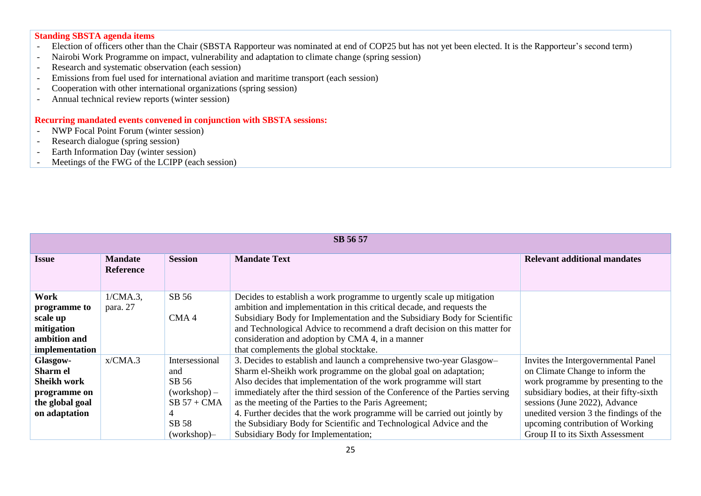## **Standing SBSTA agenda items**

- Election of officers other than the Chair (SBSTA Rapporteur was nominated at end of COP25 but has not yet been elected. It is the Rapporteur's second term)
- Nairobi Work Programme on impact, vulnerability and adaptation to climate change (spring session)
- Research and systematic observation (each session)
- Emissions from fuel used for international aviation and maritime transport (each session)
- Cooperation with other international organizations (spring session)
- Annual technical review reports (winter session)

## **Recurring mandated events convened in conjunction with SBSTA sessions:**

- NWP Focal Point Forum (winter session)
- Research dialogue (spring session)
- Earth Information Day (winter session)
- Meetings of the FWG of the LCIPP (each session)

| SB 56 57        |                                    |                  |                                                                              |                                         |  |
|-----------------|------------------------------------|------------------|------------------------------------------------------------------------------|-----------------------------------------|--|
| <b>Issue</b>    | <b>Mandate</b><br><b>Reference</b> | <b>Session</b>   | <b>Mandate Text</b>                                                          | <b>Relevant additional mandates</b>     |  |
| Work            | $1/CMA.3$ ,                        | SB 56            | Decides to establish a work programme to urgently scale up mitigation        |                                         |  |
| programme to    | para. 27                           |                  | ambition and implementation in this critical decade, and requests the        |                                         |  |
| scale up        |                                    | CMA <sub>4</sub> | Subsidiary Body for Implementation and the Subsidiary Body for Scientific    |                                         |  |
| mitigation      |                                    |                  | and Technological Advice to recommend a draft decision on this matter for    |                                         |  |
| ambition and    |                                    |                  | consideration and adoption by CMA 4, in a manner                             |                                         |  |
| implementation  |                                    |                  | that complements the global stocktake.                                       |                                         |  |
| Glasgow-        | x/CMA.3                            | Intersessional   | 3. Decides to establish and launch a comprehensive two-year Glasgow-         | Invites the Intergovernmental Panel     |  |
| Sharm el        |                                    | and              | Sharm el-Sheikh work programme on the global goal on adaptation;             | on Climate Change to inform the         |  |
| Sheikh work     |                                    | SB 56            | Also decides that implementation of the work programme will start            | work programme by presenting to the     |  |
| programme on    |                                    | $(workshop) -$   | immediately after the third session of the Conference of the Parties serving | subsidiary bodies, at their fifty-sixth |  |
| the global goal |                                    | $SB 57 + CMA$    | as the meeting of the Parties to the Paris Agreement;                        | sessions (June 2022), Advance           |  |
| on adaptation   |                                    |                  | 4. Further decides that the work programme will be carried out jointly by    | unedited version 3 the findings of the  |  |
|                 |                                    | SB 58            | the Subsidiary Body for Scientific and Technological Advice and the          | upcoming contribution of Working        |  |
|                 |                                    | (workshop)       | Subsidiary Body for Implementation;                                          | Group II to its Sixth Assessment        |  |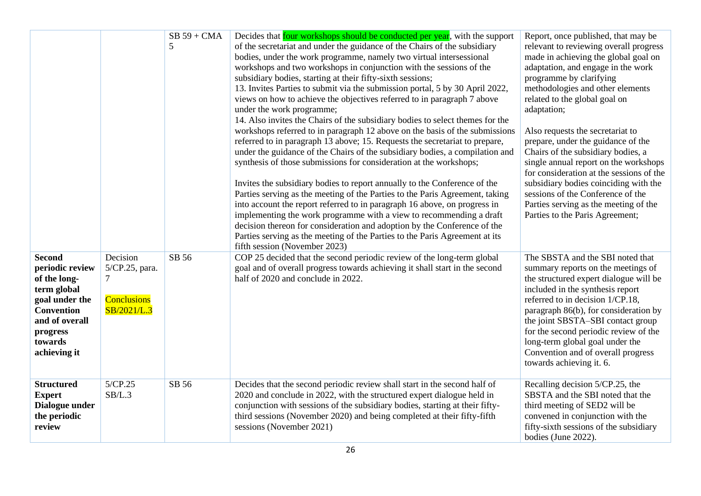|                                                                                                                                                                 |                                                                      | $SB 59 + CMA$<br>5 | Decides that <b>four</b> workshops should be conducted per year, with the support<br>of the secretariat and under the guidance of the Chairs of the subsidiary<br>bodies, under the work programme, namely two virtual intersessional<br>workshops and two workshops in conjunction with the sessions of the<br>subsidiary bodies, starting at their fifty-sixth sessions;<br>13. Invites Parties to submit via the submission portal, 5 by 30 April 2022,<br>views on how to achieve the objectives referred to in paragraph 7 above<br>under the work programme;<br>14. Also invites the Chairs of the subsidiary bodies to select themes for the<br>workshops referred to in paragraph 12 above on the basis of the submissions<br>referred to in paragraph 13 above; 15. Requests the secretariat to prepare,<br>under the guidance of the Chairs of the subsidiary bodies, a compilation and<br>synthesis of those submissions for consideration at the workshops;<br>Invites the subsidiary bodies to report annually to the Conference of the<br>Parties serving as the meeting of the Parties to the Paris Agreement, taking<br>into account the report referred to in paragraph 16 above, on progress in<br>implementing the work programme with a view to recommending a draft<br>decision thereon for consideration and adoption by the Conference of the<br>Parties serving as the meeting of the Parties to the Paris Agreement at its<br>fifth session (November 2023) | Report, once published, that may be<br>relevant to reviewing overall progress<br>made in achieving the global goal on<br>adaptation, and engage in the work<br>programme by clarifying<br>methodologies and other elements<br>related to the global goal on<br>adaptation;<br>Also requests the secretariat to<br>prepare, under the guidance of the<br>Chairs of the subsidiary bodies, a<br>single annual report on the workshops<br>for consideration at the sessions of the<br>subsidiary bodies coinciding with the<br>sessions of the Conference of the<br>Parties serving as the meeting of the<br>Parties to the Paris Agreement; |
|-----------------------------------------------------------------------------------------------------------------------------------------------------------------|----------------------------------------------------------------------|--------------------|--------------------------------------------------------------------------------------------------------------------------------------------------------------------------------------------------------------------------------------------------------------------------------------------------------------------------------------------------------------------------------------------------------------------------------------------------------------------------------------------------------------------------------------------------------------------------------------------------------------------------------------------------------------------------------------------------------------------------------------------------------------------------------------------------------------------------------------------------------------------------------------------------------------------------------------------------------------------------------------------------------------------------------------------------------------------------------------------------------------------------------------------------------------------------------------------------------------------------------------------------------------------------------------------------------------------------------------------------------------------------------------------------------------------------------------------------------------------------------------|-------------------------------------------------------------------------------------------------------------------------------------------------------------------------------------------------------------------------------------------------------------------------------------------------------------------------------------------------------------------------------------------------------------------------------------------------------------------------------------------------------------------------------------------------------------------------------------------------------------------------------------------|
| <b>Second</b><br>periodic review<br>of the long-<br>term global<br>goal under the<br><b>Convention</b><br>and of overall<br>progress<br>towards<br>achieving it | Decision<br>5/CP.25, para.<br>7<br><b>Conclusions</b><br>SB/2021/L.3 | SB 56              | COP 25 decided that the second periodic review of the long-term global<br>goal and of overall progress towards achieving it shall start in the second<br>half of 2020 and conclude in 2022.                                                                                                                                                                                                                                                                                                                                                                                                                                                                                                                                                                                                                                                                                                                                                                                                                                                                                                                                                                                                                                                                                                                                                                                                                                                                                          | The SBSTA and the SBI noted that<br>summary reports on the meetings of<br>the structured expert dialogue will be<br>included in the synthesis report<br>referred to in decision 1/CP.18,<br>paragraph 86(b), for consideration by<br>the joint SBSTA-SBI contact group<br>for the second periodic review of the<br>long-term global goal under the<br>Convention and of overall progress<br>towards achieving it. 6.                                                                                                                                                                                                                      |
| <b>Structured</b><br><b>Expert</b><br>Dialogue under<br>the periodic<br>review                                                                                  | 5/CP.25<br>SB/L.3                                                    | SB 56              | Decides that the second periodic review shall start in the second half of<br>2020 and conclude in 2022, with the structured expert dialogue held in<br>conjunction with sessions of the subsidiary bodies, starting at their fifty-<br>third sessions (November 2020) and being completed at their fifty-fifth<br>sessions (November 2021)                                                                                                                                                                                                                                                                                                                                                                                                                                                                                                                                                                                                                                                                                                                                                                                                                                                                                                                                                                                                                                                                                                                                           | Recalling decision 5/CP.25, the<br>SBSTA and the SBI noted that the<br>third meeting of SED2 will be<br>convened in conjunction with the<br>fifty-sixth sessions of the subsidiary<br>bodies (June 2022).                                                                                                                                                                                                                                                                                                                                                                                                                                 |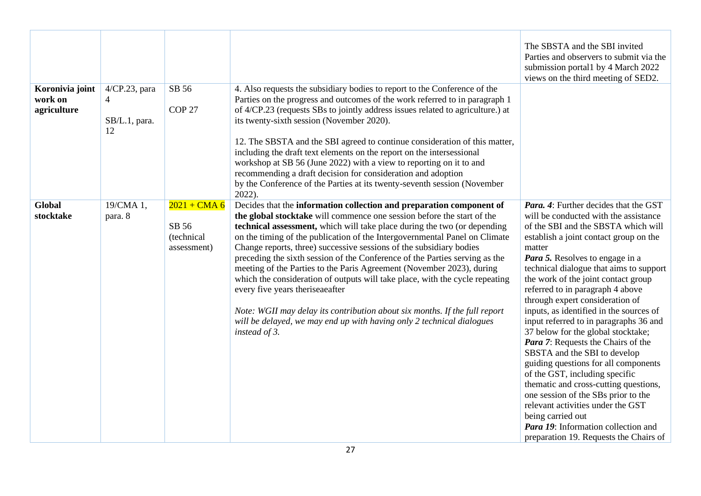|                                           |                                           |                                                      |                                                                                                                                                                                                                                                                                                                                                                                                                                                                                                                                                                                                                                                                                                                                                                                                                                    | The SBSTA and the SBI invited<br>Parties and observers to submit via the<br>submission portal1 by 4 March 2022<br>views on the third meeting of SED2.                                                                                                                                                                                                                                                                                                                                                                                                                                                                                                                                                                                                                                                                                                                                     |
|-------------------------------------------|-------------------------------------------|------------------------------------------------------|------------------------------------------------------------------------------------------------------------------------------------------------------------------------------------------------------------------------------------------------------------------------------------------------------------------------------------------------------------------------------------------------------------------------------------------------------------------------------------------------------------------------------------------------------------------------------------------------------------------------------------------------------------------------------------------------------------------------------------------------------------------------------------------------------------------------------------|-------------------------------------------------------------------------------------------------------------------------------------------------------------------------------------------------------------------------------------------------------------------------------------------------------------------------------------------------------------------------------------------------------------------------------------------------------------------------------------------------------------------------------------------------------------------------------------------------------------------------------------------------------------------------------------------------------------------------------------------------------------------------------------------------------------------------------------------------------------------------------------------|
| Koronivia joint<br>work on<br>agriculture | 4/CP.23, para<br>4<br>SB/L.1, para.<br>12 | SB 56<br>COP <sub>27</sub>                           | 4. Also requests the subsidiary bodies to report to the Conference of the<br>Parties on the progress and outcomes of the work referred to in paragraph 1<br>of 4/CP.23 (requests SBs to jointly address issues related to agriculture.) at<br>its twenty-sixth session (November 2020).<br>12. The SBSTA and the SBI agreed to continue consideration of this matter,<br>including the draft text elements on the report on the intersessional<br>workshop at SB 56 (June 2022) with a view to reporting on it to and<br>recommending a draft decision for consideration and adoption<br>by the Conference of the Parties at its twenty-seventh session (November<br>$2022$ ).                                                                                                                                                     |                                                                                                                                                                                                                                                                                                                                                                                                                                                                                                                                                                                                                                                                                                                                                                                                                                                                                           |
| <b>Global</b><br>stocktake                | 19/CMA 1,<br>para. 8                      | $2021 + CMA 6$<br>SB 56<br>(technical<br>assessment) | Decides that the information collection and preparation component of<br>the global stocktake will commence one session before the start of the<br>technical assessment, which will take place during the two (or depending<br>on the timing of the publication of the Intergovernmental Panel on Climate<br>Change reports, three) successive sessions of the subsidiary bodies<br>preceding the sixth session of the Conference of the Parties serving as the<br>meeting of the Parties to the Paris Agreement (November 2023), during<br>which the consideration of outputs will take place, with the cycle repeating<br>every five years theriseaeafter<br>Note: WGII may delay its contribution about six months. If the full report<br>will be delayed, we may end up with having only 2 technical dialogues<br>instead of 3. | <b>Para.</b> 4: Further decides that the GST<br>will be conducted with the assistance<br>of the SBI and the SBSTA which will<br>establish a joint contact group on the<br>matter<br>Para 5. Resolves to engage in a<br>technical dialogue that aims to support<br>the work of the joint contact group<br>referred to in paragraph 4 above<br>through expert consideration of<br>inputs, as identified in the sources of<br>input referred to in paragraphs 36 and<br>37 below for the global stocktake;<br>Para 7: Requests the Chairs of the<br>SBSTA and the SBI to develop<br>guiding questions for all components<br>of the GST, including specific<br>thematic and cross-cutting questions,<br>one session of the SBs prior to the<br>relevant activities under the GST<br>being carried out<br><b>Para 19:</b> Information collection and<br>preparation 19. Requests the Chairs of |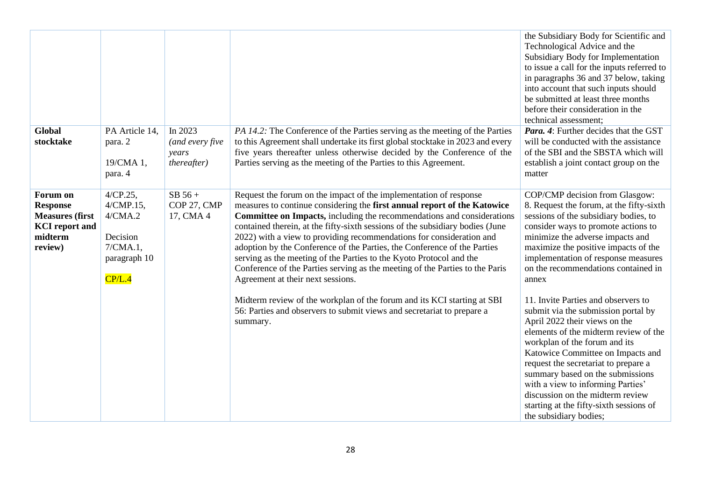|                                                                                                      |                                                                                          |                                                    |                                                                                                                                                                                                                                                                                                                                                                                                                                                                                                                                                                                                                                                          | the Subsidiary Body for Scientific and<br>Technological Advice and the<br>Subsidiary Body for Implementation<br>to issue a call for the inputs referred to<br>in paragraphs 36 and 37 below, taking<br>into account that such inputs should<br>be submitted at least three months<br>before their consideration in the<br>technical assessment;                                                                                                      |
|------------------------------------------------------------------------------------------------------|------------------------------------------------------------------------------------------|----------------------------------------------------|----------------------------------------------------------------------------------------------------------------------------------------------------------------------------------------------------------------------------------------------------------------------------------------------------------------------------------------------------------------------------------------------------------------------------------------------------------------------------------------------------------------------------------------------------------------------------------------------------------------------------------------------------------|------------------------------------------------------------------------------------------------------------------------------------------------------------------------------------------------------------------------------------------------------------------------------------------------------------------------------------------------------------------------------------------------------------------------------------------------------|
| <b>Global</b><br>stocktake                                                                           | PA Article 14,<br>para. 2<br>19/CMA 1,<br>para. 4                                        | In 2023<br>(and every five<br>years<br>thereafter) | PA 14.2: The Conference of the Parties serving as the meeting of the Parties<br>to this Agreement shall undertake its first global stocktake in 2023 and every<br>five years thereafter unless otherwise decided by the Conference of the<br>Parties serving as the meeting of the Parties to this Agreement.                                                                                                                                                                                                                                                                                                                                            | Para. 4: Further decides that the GST<br>will be conducted with the assistance<br>of the SBI and the SBSTA which will<br>establish a joint contact group on the<br>matter                                                                                                                                                                                                                                                                            |
| Forum on<br><b>Response</b><br><b>Measures (first</b><br><b>KCI</b> report and<br>midterm<br>review) | $4/CP.25$ ,<br>4/CMP.15,<br>4/CMA.2<br>Decision<br>$7/CMA.1$ ,<br>paragraph 10<br>CP/L.4 | $SB 56 +$<br>COP 27, CMP<br>17, CMA 4              | Request the forum on the impact of the implementation of response<br>measures to continue considering the first annual report of the Katowice<br>Committee on Impacts, including the recommendations and considerations<br>contained therein, at the fifty-sixth sessions of the subsidiary bodies (June<br>2022) with a view to providing recommendations for consideration and<br>adoption by the Conference of the Parties, the Conference of the Parties<br>serving as the meeting of the Parties to the Kyoto Protocol and the<br>Conference of the Parties serving as the meeting of the Parties to the Paris<br>Agreement at their next sessions. | COP/CMP decision from Glasgow:<br>8. Request the forum, at the fifty-sixth<br>sessions of the subsidiary bodies, to<br>consider ways to promote actions to<br>minimize the adverse impacts and<br>maximize the positive impacts of the<br>implementation of response measures<br>on the recommendations contained in<br>annex                                                                                                                        |
|                                                                                                      |                                                                                          |                                                    | Midterm review of the workplan of the forum and its KCI starting at SBI<br>56: Parties and observers to submit views and secretariat to prepare a<br>summary.                                                                                                                                                                                                                                                                                                                                                                                                                                                                                            | 11. Invite Parties and observers to<br>submit via the submission portal by<br>April 2022 their views on the<br>elements of the midterm review of the<br>workplan of the forum and its<br>Katowice Committee on Impacts and<br>request the secretariat to prepare a<br>summary based on the submissions<br>with a view to informing Parties'<br>discussion on the midterm review<br>starting at the fifty-sixth sessions of<br>the subsidiary bodies; |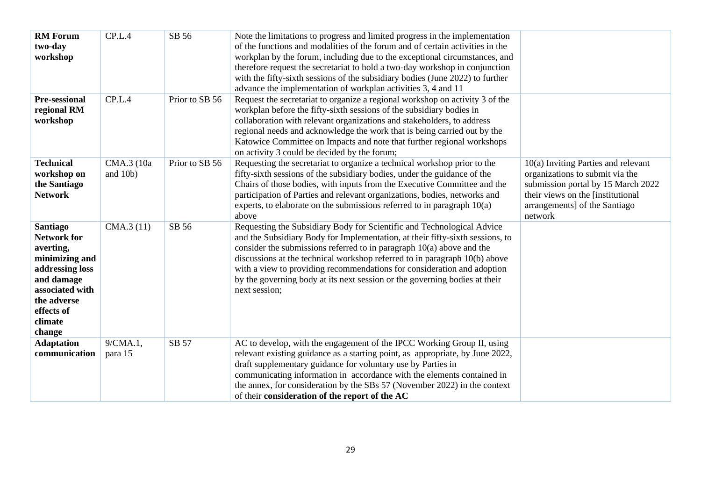| <b>RM</b> Forum<br>two-day<br>workshop                                                                                                                                     | CP.L.4                 | SB 56          | Note the limitations to progress and limited progress in the implementation<br>of the functions and modalities of the forum and of certain activities in the<br>workplan by the forum, including due to the exceptional circumstances, and<br>therefore request the secretariat to hold a two-day workshop in conjunction<br>with the fifty-sixth sessions of the subsidiary bodies (June 2022) to further<br>advance the implementation of workplan activities 3, 4 and 11                |                                                                                                                                                                                                 |
|----------------------------------------------------------------------------------------------------------------------------------------------------------------------------|------------------------|----------------|--------------------------------------------------------------------------------------------------------------------------------------------------------------------------------------------------------------------------------------------------------------------------------------------------------------------------------------------------------------------------------------------------------------------------------------------------------------------------------------------|-------------------------------------------------------------------------------------------------------------------------------------------------------------------------------------------------|
| Pre-sessional<br>regional RM<br>workshop                                                                                                                                   | CP.L.4                 | Prior to SB 56 | Request the secretariat to organize a regional workshop on activity 3 of the<br>workplan before the fifty-sixth sessions of the subsidiary bodies in<br>collaboration with relevant organizations and stakeholders, to address<br>regional needs and acknowledge the work that is being carried out by the<br>Katowice Committee on Impacts and note that further regional workshops<br>on activity 3 could be decided by the forum;                                                       |                                                                                                                                                                                                 |
| <b>Technical</b><br>workshop on<br>the Santiago<br><b>Network</b>                                                                                                          | CMA.3 (10a<br>and 10b) | Prior to SB 56 | Requesting the secretariat to organize a technical workshop prior to the<br>fifty-sixth sessions of the subsidiary bodies, under the guidance of the<br>Chairs of those bodies, with inputs from the Executive Committee and the<br>participation of Parties and relevant organizations, bodies, networks and<br>experts, to elaborate on the submissions referred to in paragraph $10(a)$<br>above                                                                                        | $10(a)$ Inviting Parties and relevant<br>organizations to submit via the<br>submission portal by 15 March 2022<br>their views on the [institutional<br>arrangements] of the Santiago<br>network |
| <b>Santiago</b><br><b>Network for</b><br>averting,<br>minimizing and<br>addressing loss<br>and damage<br>associated with<br>the adverse<br>effects of<br>climate<br>change | CMA.3(11)              | SB 56          | Requesting the Subsidiary Body for Scientific and Technological Advice<br>and the Subsidiary Body for Implementation, at their fifty-sixth sessions, to<br>consider the submissions referred to in paragraph $10(a)$ above and the<br>discussions at the technical workshop referred to in paragraph 10(b) above<br>with a view to providing recommendations for consideration and adoption<br>by the governing body at its next session or the governing bodies at their<br>next session; |                                                                                                                                                                                                 |
| <b>Adaptation</b><br>communication                                                                                                                                         | 9/CMA.1,<br>para 15    | SB 57          | AC to develop, with the engagement of the IPCC Working Group II, using<br>relevant existing guidance as a starting point, as appropriate, by June 2022,<br>draft supplementary guidance for voluntary use by Parties in<br>communicating information in accordance with the elements contained in<br>the annex, for consideration by the SBs 57 (November 2022) in the context<br>of their consideration of the report of the AC                                                           |                                                                                                                                                                                                 |